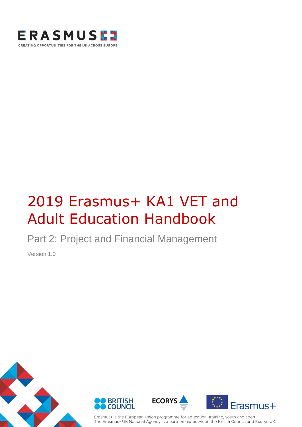

# 2019 Erasmus+ KA1 VET and Adult Education Handbook

Part 2: Project and Financial Management

Version 1.0









Erasmus+ is the European Union programme for education, training, youth and sport. The Erasmus+ UK National Agency is a partnership between the British Council and Ecorys UK.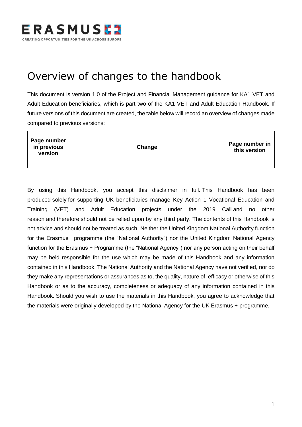

## <span id="page-1-0"></span>Overview of changes to the handbook

This document is version 1.0 of the Project and Financial Management guidance for KA1 VET and Adult Education beneficiaries, which is part two of the KA1 VET and Adult Education Handbook. If future versions of this document are created, the table below will record an overview of changes made compared to previous versions:

| Page number<br>in previous<br>version | Change | Page number in<br>this version |
|---------------------------------------|--------|--------------------------------|
|                                       |        |                                |

By using this Handbook, you accept this disclaimer in full. This Handbook has been produced solely for supporting UK beneficiaries manage Key Action 1 Vocational Education and Training (VET) and Adult Education projects under the 2019 Call and no other reason and therefore should not be relied upon by any third party. The contents of this Handbook is not advice and should not be treated as such. Neither the United Kingdom National Authority function for the Erasmus+ programme (the "National Authority") nor the United Kingdom National Agency function for the Erasmus + Programme (the "National Agency") nor any person acting on their behalf may be held responsible for the use which may be made of this Handbook and any information contained in this Handbook. The National Authority and the National Agency have not verified, nor do they make any representations or assurances as to, the quality, nature of, efficacy or otherwise of this Handbook or as to the accuracy, completeness or adequacy of any information contained in this Handbook. Should you wish to use the materials in this Handbook, you agree to acknowledge that the materials were originally developed by the National Agency for the UK Erasmus + programme.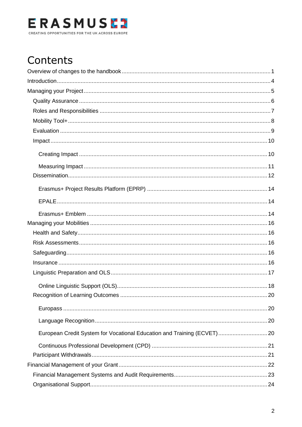

## Contents

|                                                                         | . 20 |
|-------------------------------------------------------------------------|------|
|                                                                         |      |
|                                                                         |      |
| European Credit System for Vocational Education and Training (ECVET) 20 |      |
|                                                                         |      |
|                                                                         |      |
|                                                                         |      |
|                                                                         |      |
|                                                                         |      |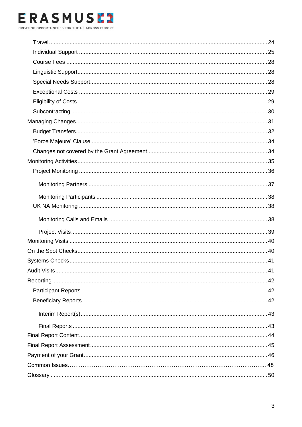### **ERASMUSE?** CREATING OPPORTUNITIES FOR THE UK ACROSS EUROPE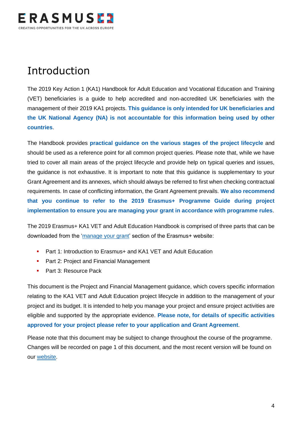

## Introduction

The 2019 Key Action 1 (KA1) Handbook for Adult Education and Vocational Education and Training (VET) beneficiaries is a guide to help accredited and non-accredited UK beneficiaries with the management of their 2019 KA1 projects. **This guidance is only intended for UK beneficiaries and the UK National Agency (NA) is not accountable for this information being used by other countries**.

The Handbook provides **practical guidance on the various stages of the project lifecycle** and should be used as a reference point for all common project queries. Please note that, while we have tried to cover all main areas of the project lifecycle and provide help on typical queries and issues, the guidance is not exhaustive. It is important to note that this guidance is supplementary to your Grant Agreement and its annexes, which should always be referred to first when checking contractual requirements. In case of conflicting information, the Grant Agreement prevails. **We also recommend that you continue to refer to the 2019 Erasmus+ Programme Guide during project implementation to ensure you are managing your grant in accordance with programme rules**.

The 2019 Erasmus+ KA1 VET and Adult Education Handbook is comprised of three parts that can be downloaded from the ['manage your grant'](https://www.erasmusplus.org.uk/manage-your-grant-2) section of the Erasmus+ website:

- Part 1: Introduction to Erasmus+ and KA1 VET and Adult Education
- Part 2: Project and Financial Management
- Part 3: Resource Pack

This document is the Project and Financial Management guidance, which covers specific information relating to the KA1 VET and Adult Education project lifecycle in addition to the management of your project and its budget. It is intended to help you manage your project and ensure project activities are eligible and supported by the appropriate evidence. **Please note, for details of specific activities approved for your project please refer to your application and Grant Agreement**.

Please note that this document may be subject to change throughout the course of the programme. Changes will be recorded on page 1 of this document, and the most recent version will be found on our [website.](https://www.erasmusplus.org.uk/erasmus-grants)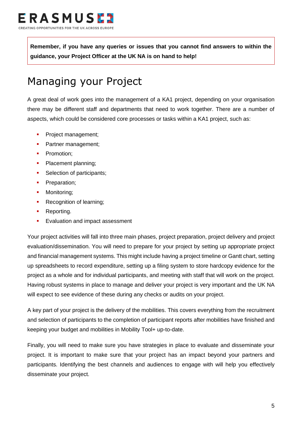**Remember, if you have any queries or issues that you cannot find answers to within the guidance, your Project Officer at the UK NA is on hand to help!**

## <span id="page-5-0"></span>Managing your Project

A great deal of work goes into the management of a KA1 project, depending on your organisation there may be different staff and departments that need to work together. There are a number of aspects, which could be considered core processes or tasks within a KA1 project, such as:

- **•** Project management;
- **•** Partner management;
- **•** Promotion:
- Placement planning;
- **•** Selection of participants;
- **•** Preparation;
- **■** Monitoring:
- **Recognition of learning;**
- Reporting.
- **Exaluation and impact assessment**

Your project activities will fall into three main phases, project preparation, project delivery and project evaluation/dissemination. You will need to prepare for your project by setting up appropriate project and financial management systems. This might include having a project timeline or Gantt chart, setting up spreadsheets to record expenditure, setting up a filing system to store hardcopy evidence for the project as a whole and for individual participants, and meeting with staff that will work on the project. Having robust systems in place to manage and deliver your project is very important and the UK NA will expect to see evidence of these during any checks or audits on your project.

A key part of your project is the delivery of the mobilities. This covers everything from the recruitment and selection of participants to the completion of participant reports after mobilities have finished and keeping your budget and mobilities in Mobility Tool+ up-to-date.

Finally, you will need to make sure you have strategies in place to evaluate and disseminate your project. It is important to make sure that your project has an impact beyond your partners and participants. Identifying the best channels and audiences to engage with will help you effectively disseminate your project.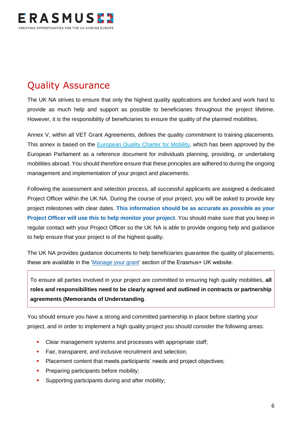

## <span id="page-6-0"></span>Quality Assurance

The UK NA strives to ensure that only the highest quality applications are funded and work hard to provide as much help and support as possible to beneficiaries throughout the project lifetime. However, it is the responsibility of beneficiaries to ensure the quality of the planned mobilities.

Annex V, within all VET Grant Agreements, defines the quality commitment to training placements. This annex is based on the [European Quality Charter for Mobility,](http://eur-lex.europa.eu/legal-content/EN/TXT/?uri=URISERV%3Ac11085) which has been approved by the European Parliament as a reference document for individuals planning, providing, or undertaking mobilities abroad. You should therefore ensure that these principles are adhered to during the ongoing management and implementation of your project and placements.

Following the assessment and selection process, all successful applicants are assigned a dedicated Project Officer within the UK NA. During the course of your project, you will be asked to provide key project milestones with clear dates. **This information should be as accurate as possible as your Project Officer will use this to help monitor your project**. You should make sure that you keep in regular contact with your Project Officer so the UK NA is able to provide ongoing help and guidance to help ensure that your project is of the highest quality.

The UK NA provides guidance documents to help beneficiaries guarantee the quality of placements; these are available in the ['Manage your grant'](https://www.erasmusplus.org.uk/manage-your-grant) section of the Erasmus+ UK website.

To ensure all parties involved in your project are committed to ensuring high quality mobilities, **all roles and responsibilities need to be clearly agreed and outlined in contracts or partnership agreements (Memoranda of Understanding**.

You should ensure you have a strong and committed partnership in place before starting your project, and in order to implement a high quality project you should consider the following areas:

- **EXECTE 2018** Clear management systems and processes with appropriate staff;
- **EXECT:** Fair, transparent, and inclusive recruitment and selection;
- **•** Placement content that meets participants' needs and project objectives;
- **Preparing participants before mobility;**
- **EXECUTE:** Supporting participants during and after mobility;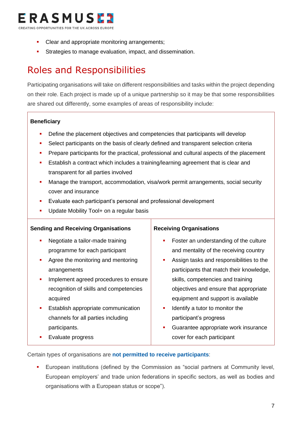

- Clear and appropriate monitoring arrangements;
- Strategies to manage evaluation, impact, and dissemination.

## <span id="page-7-0"></span>Roles and Responsibilities

Participating organisations will take on different responsibilities and tasks within the project depending on their role. Each project is made up of a unique partnership so it may be that some responsibilities are shared out differently, some examples of areas of responsibility include:

#### **Beneficiary**

- Define the placement objectives and competencies that participants will develop
- Select participants on the basis of clearly defined and transparent selection criteria
- Prepare participants for the practical, professional and cultural aspects of the placement
- Establish a contract which includes a training/learning agreement that is clear and transparent for all parties involved
- Manage the transport, accommodation, visa/work permit arrangements, social security cover and insurance
- Evaluate each participant's personal and professional development
- Update Mobility Tool+ on a regular basis

#### **Sending and Receiving Organisations**

- Negotiate a tailor-made training programme for each participant
- Agree the monitoring and mentoring arrangements
- Implement agreed procedures to ensure recognition of skills and competencies acquired
- **Establish appropriate communication** channels for all parties including participants.
- **Evaluate progress**

#### **Receiving Organisations**

- Foster an understanding of the culture and mentality of the receiving country
- **EXEC** Assign tasks and responsibilities to the participants that match their knowledge, skills, competencies and training objectives and ensure that appropriate equipment and support is available
- Identify a tutor to monitor the participant's progress
- **Guarantee appropriate work insurance** cover for each participant

Certain types of organisations are **not permitted to receive participants**:

European institutions (defined by the Commission as "social partners at Community level, European employers' and trade union federations in specific sectors, as well as bodies and organisations with a European status or scope").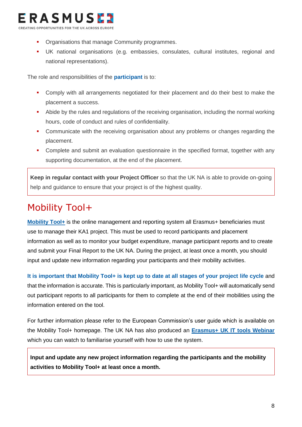

- **Organisations that manage Community programmes.**
- UK national organisations (e.g. embassies, consulates, cultural institutes, regional and national representations).

The role and responsibilities of the **participant** is to:

- Comply with all arrangements negotiated for their placement and do their best to make the placement a success.
- Abide by the rules and regulations of the receiving organisation, including the normal working hours, code of conduct and rules of confidentiality.
- Communicate with the receiving organisation about any problems or changes regarding the placement.
- Complete and submit an evaluation questionnaire in the specified format, together with any supporting documentation, at the end of the placement.

**Keep in regular contact with your Project Officer** so that the UK NA is able to provide on-going help and guidance to ensure that your project is of the highest quality.

## <span id="page-8-0"></span>Mobility Tool+

**[Mobility Tool+](https://webgate.ec.europa.eu/eac/mobility)** is the online management and reporting system all Erasmus+ beneficiaries must use to manage their KA1 project. This must be used to record participants and placement information as well as to monitor your budget expenditure, manage participant reports and to create and submit your Final Report to the UK NA. During the project, at least once a month, you should input and update new information regarding your participants and their mobility activities.

**It is important that Mobility Tool+ is kept up to date at all stages of your project life cycle** and that the information is accurate. This is particularly important, as Mobility Tool+ will automatically send out participant reports to all participants for them to complete at the end of their mobilities using the information entered on the tool.

For further information please refer to the European Commission's user guide which is available on the Mobility Tool+ homepage. The UK NA has also produced an **[Erasmus+ UK IT tools Webinar](https://www.youtube.com/watch?v=6cZIID24lvM)** which you can watch to familiarise yourself with how to use the system.

<span id="page-8-1"></span>**Input and update any new project information regarding the participants and the mobility activities to Mobility Tool+ at least once a month.**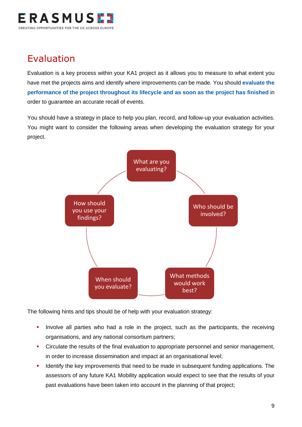

### Evaluation

Evaluation is a key process within your KA1 project as it allows you to measure to what extent you have met the projects aims and identify where improvements can be made. You should **evaluate the performance of the project throughout its lifecycle and as soon as the project has finished** in order to guarantee an accurate recall of events.

You should have a strategy in place to help you plan, record, and follow-up your evaluation activities. You might want to consider the following areas when developing the evaluation strategy for your project.



The following hints and tips should be of help with your evaluation strategy:

- **•** Involve all parties who had a role in the project, such as the participants, the receiving organisations, and any national consortium partners;
- Circulate the results of the final evaluation to appropriate personnel and senior management, in order to increase dissemination and impact at an organisational level;
- Identify the key improvements that need to be made in subsequent funding applications. The assessors of any future KA1 Mobility application would expect to see that the results of your past evaluations have been taken into account in the planning of that project;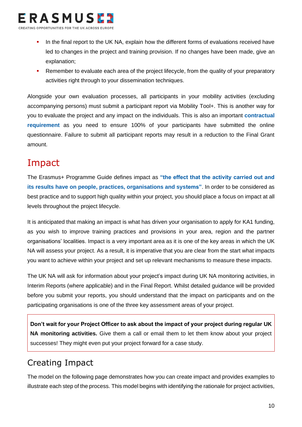

- In the final report to the UK NA, explain how the different forms of evaluations received have led to changes in the project and training provision. If no changes have been made, give an explanation;
- Remember to evaluate each area of the project lifecycle, from the quality of your preparatory activities right through to your dissemination techniques.

Alongside your own evaluation processes, all participants in your mobility activities (excluding accompanying persons) must submit a participant report via Mobility Tool+. This is another way for you to evaluate the project and any impact on the individuals. This is also an important **contractual requirement** as you need to ensure 100% of your participants have submitted the online questionnaire. Failure to submit all participant reports may result in a reduction to the Final Grant amount.

## <span id="page-10-0"></span>Impact

The Erasmus+ Programme Guide defines impact as **"the effect that the activity carried out and its results have on people, practices, organisations and systems"**. In order to be considered as best practice and to support high quality within your project, you should place a focus on impact at all levels throughout the project lifecycle.

It is anticipated that making an impact is what has driven your organisation to apply for KA1 funding, as you wish to improve training practices and provisions in your area, region and the partner organisations' localities. Impact is a very important area as it is one of the key areas in which the UK NA will assess your project. As a result, it is imperative that you are clear from the start what impacts you want to achieve within your project and set up relevant mechanisms to measure these impacts.

The UK NA will ask for information about your project's impact during UK NA monitoring activities, in Interim Reports (where applicable) and in the Final Report. Whilst detailed guidance will be provided before you submit your reports, you should understand that the impact on participants and on the participating organisations is one of the three key assessment areas of your project.

**Don't wait for your Project Officer to ask about the impact of your project during regular UK NA monitoring activities.** Give them a call or email them to let them know about your project successes! They might even put your project forward for a case study.

### <span id="page-10-1"></span>Creating Impact

The model on the following page demonstrates how you can create impact and provides examples to illustrate each step of the process. This model begins with identifying the rationale for project activities,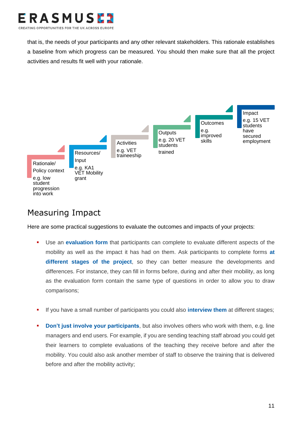

that is, the needs of your participants and any other relevant stakeholders. This rationale establishes a baseline from which progress can be measured. You should then make sure that all the project activities and results fit well with your rationale.



### <span id="page-11-0"></span>Measuring Impact

Here are some practical suggestions to evaluate the outcomes and impacts of your projects:

- **.** Use an **evaluation form** that participants can complete to evaluate different aspects of the mobility as well as the impact it has had on them. Ask participants to complete forms **at different stages of the project**, so they can better measure the developments and differences. For instance, they can fill in forms before, during and after their mobility, as long as the evaluation form contain the same type of questions in order to allow you to draw comparisons;
- If you have a small number of participants you could also **interview them** at different stages;
- **Don't just involve your participants**, but also involves others who work with them, e.g. line managers and end users. For example, if you are sending teaching staff abroad you could get their learners to complete evaluations of the teaching they receive before and after the mobility. You could also ask another member of staff to observe the training that is delivered before and after the mobility activity;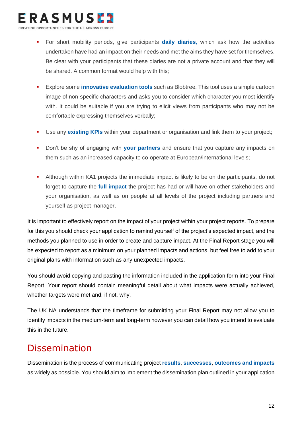

- **EXECT:** For short mobility periods, give participants **daily diaries**, which ask how the activities undertaken have had an impact on their needs and met the aims they have set for themselves. Be clear with your participants that these diaries are not a private account and that they will be shared. A common format would help with this;
- **Explore some innovative evaluation tools** such as Blobtree. This tool uses a simple cartoon image of non-specific characters and asks you to consider which character you most identify with. It could be suitable if you are trying to elicit views from participants who may not be comfortable expressing themselves verbally;
- **E** Use any **existing KPIs** within your department or organisation and link them to your project;
- Don't be shy of engaging with **your partners** and ensure that you capture any impacts on them such as an increased capacity to co-operate at European/international levels;
- Although within KA1 projects the immediate impact is likely to be on the participants, do not forget to capture the **full impact** the project has had or will have on other stakeholders and your organisation, as well as on people at all levels of the project including partners and yourself as project manager.

It is important to effectively report on the impact of your project within your project reports. To prepare for this you should check your application to remind yourself of the project's expected impact, and the methods you planned to use in order to create and capture impact. At the Final Report stage you will be expected to report as a minimum on your planned impacts and actions, but feel free to add to your original plans with information such as any unexpected impacts.

You should avoid copying and pasting the information included in the application form into your Final Report. Your report should contain meaningful detail about what impacts were actually achieved, whether targets were met and, if not, why.

The UK NA understands that the timeframe for submitting your Final Report may not allow you to identify impacts in the medium-term and long-term however you can detail how you intend to evaluate this in the future.

### <span id="page-12-0"></span>Dissemination

Dissemination is the process of communicating project **results**, **successes**, **outcomes and impacts** as widely as possible. You should aim to implement the dissemination plan outlined in your application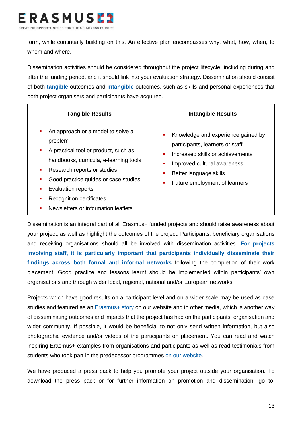

form, while continually building on this. An effective plan encompasses why, what, how, when, to whom and where.

Dissemination activities should be considered throughout the project lifecycle, including during and after the funding period, and it should link into your evaluation strategy. Dissemination should consist of both **tangible** outcomes and **intangible** outcomes, such as skills and personal experiences that both project organisers and participants have acquired.

| <b>Tangible Results</b>                                                                                                                                                                                                                                                                                                                | <b>Intangible Results</b>                                                                                                                                                                                             |  |  |
|----------------------------------------------------------------------------------------------------------------------------------------------------------------------------------------------------------------------------------------------------------------------------------------------------------------------------------------|-----------------------------------------------------------------------------------------------------------------------------------------------------------------------------------------------------------------------|--|--|
| An approach or a model to solve a<br>٠<br>problem<br>A practical tool or product, such as<br>$\mathbf{r}$<br>handbooks, curricula, e-learning tools<br>Research reports or studies<br>ш<br>Good practice guides or case studies<br><b>Evaluation reports</b><br><b>Recognition certificates</b><br>Newsletters or information leaflets | Knowledge and experience gained by<br>participants, learners or staff<br>Increased skills or achievements<br>$\blacksquare$<br>Improved cultural awareness<br>Better language skills<br>Future employment of learners |  |  |

Dissemination is an integral part of all Erasmus+ funded projects and should raise awareness about your project, as well as highlight the outcomes of the project. Participants, beneficiary organisations and receiving organisations should all be involved with dissemination activities. **For projects involving staff, it is particularly important that participants individually disseminate their findings across both formal and informal networks** following the completion of their work placement. Good practice and lessons learnt should be implemented within participants' own organisations and through wider local, regional, national and/or European networks.

Projects which have good results on a participant level and on a wider scale may be used as case studies and featured as an [Erasmus+ story](https://www.erasmusplus.org.uk/stories/sector) on our website and in other media, which is another way of disseminating outcomes and impacts that the project has had on the participants, organisation and wider community. If possible, it would be beneficial to not only send written information, but also photographic evidence and/or videos of the participants on placement. You can read and watch inspiring Erasmus+ examples from organisations and participants as well as read testimonials from students who took part in the predecessor programmes [on our website.](https://www.erasmusplus.org.uk/case-studies)

We have produced a press pack to help you promote your project outside your organisation. To download the press pack or for further information on promotion and dissemination, go to: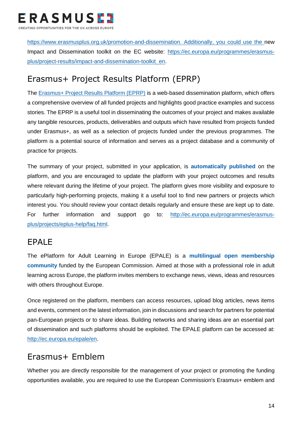

[https://www.erasmusplus.org.uk/promotion-and-dissemination.](https://www.erasmusplus.org.uk/promotion-and-dissemination) Additionally, you could use the new Impact and Dissemination toolkit on the EC website: [https://ec.europa.eu/programmes/erasmus](https://ec.europa.eu/programmes/erasmus-plus/project-results/impact-and-dissemination-toolkit_en)[plus/project-results/impact-and-dissemination-toolkit\\_en.](https://ec.europa.eu/programmes/erasmus-plus/project-results/impact-and-dissemination-toolkit_en)

### <span id="page-14-0"></span>Erasmus+ Project Results Platform (EPRP)

The [Erasmus+ Project Results Platform \(EPRP\)](http://ec.europa.eu/programmes/erasmus-plus/projects/) is a web-based dissemination platform, which offers a comprehensive overview of all funded projects and highlights good practice examples and success stories. The EPRP is a useful tool in disseminating the outcomes of your project and makes available any tangible resources, products, deliverables and outputs which have resulted from projects funded under Erasmus+, as well as a selection of projects funded under the previous programmes. The platform is a potential source of information and serves as a project database and a community of practice for projects.

The summary of your project, submitted in your application, is **automatically published** on the platform, and you are encouraged to update the platform with your project outcomes and results where relevant during the lifetime of your project. The platform gives more visibility and exposure to particularly high-performing projects, making it a useful tool to find new partners or projects which interest you. You should review your contact details regularly and ensure these are kept up to date. For further information and support go to: [http://ec.europa.eu/programmes/erasmus](http://ec.europa.eu/programmes/erasmus-plus/projects/eplus-help/faq.html)[plus/projects/eplus-help/faq.html.](http://ec.europa.eu/programmes/erasmus-plus/projects/eplus-help/faq.html)

#### <span id="page-14-1"></span>EPALE

The ePlatform for Adult Learning in Europe (EPALE) is a **multilingual open membership community** funded by the European Commission. Aimed at those with a professional role in adult learning across Europe, the platform invites members to exchange news, views, ideas and resources with others throughout Europe.

Once registered on the platform, members can access resources, upload blog articles, news items and events, comment on the latest information, join in discussions and search for partners for potential pan-European projects or to share ideas. Building networks and sharing ideas are an essential part of dissemination and such platforms should be exploited. The EPALE platform can be accessed at: [http://ec.europa.eu/epale/en.](http://ec.europa.eu/epale/en)

### <span id="page-14-2"></span>Erasmus+ Emblem

Whether you are directly responsible for the management of your project or promoting the funding opportunities available, you are required to use the European Commission's Erasmus+ emblem and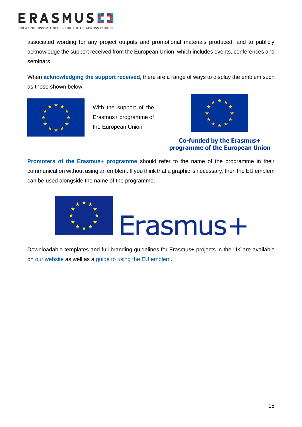

associated wording for any project outputs and promotional materials produced, and to publicly acknowledge the support received from the European Union, which includes events, conferences and seminars.

When **acknowledging the support received,** there are a range of ways to display the emblem such as those shown below:



With the support of the Erasmus+ programme of the European Union



**Co-funded by the Erasmus+ programme of the European Union**

**Promoters of the Erasmus+ programme** should refer to the name of the programme in their communication without using an emblem. If you think that a graphic is necessary, then the EU emblem can be used alongside the name of the programme.



Downloadable templates and full branding guidelines for Erasmus+ projects in the UK are available on [our website](https://www.erasmusplus.org.uk/promotion-and-dissemination) as well as a [guide to using the EU emblem.](https://www.erasmusplus.org.uk/file/3401/download)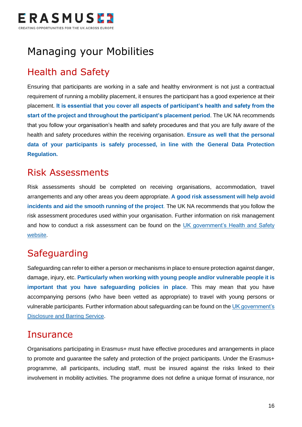

## <span id="page-16-0"></span>Managing your Mobilities

## <span id="page-16-1"></span>Health and Safety

Ensuring that participants are working in a safe and healthy environment is not just a contractual requirement of running a mobility placement, it ensures the participant has a good experience at their placement. **It is essential that you cover all aspects of participant's health and safety from the start of the project and throughout the participant's placement period**. The UK NA recommends that you follow your organisation's health and safety procedures and that you are fully aware of the health and safety procedures within the receiving organisation. **Ensure as well that the personal data of your participants is safely processed, in line with the General Data Protection Regulation.**

### <span id="page-16-2"></span>Risk Assessments

Risk assessments should be completed on receiving organisations, accommodation, travel arrangements and any other areas you deem appropriate. **A good risk assessment will help avoid incidents and aid the smooth running of the project**. The UK NA recommends that you follow the risk assessment procedures used within your organisation. Further information on risk management and how to conduct a risk assessment can be found on the UK government's Health and Safety [website.](http://www.hse.gov.uk/risk/)

## <span id="page-16-3"></span>**Safeguarding**

Safeguarding can refer to either a person or mechanisms in place to ensure protection against danger, damage, injury, etc. **Particularly when working with young people and/or vulnerable people it is important that you have safeguarding policies in place**. This may mean that you have accompanying persons (who have been vetted as appropriate) to travel with young persons or vulnerable participants. Further information about safeguarding can be found on the UK government's [Disclosure and Barring Service.](https://www.gov.uk/government/organisations/disclosure-and-barring-service)

### <span id="page-16-4"></span>**Insurance**

Organisations participating in Erasmus+ must have effective procedures and arrangements in place to promote and quarantee the safety and protection of the project participants. Under the Erasmus+ programme, all participants, including staff, must be insured against the risks linked to their involvement in mobility activities. The programme does not define a unique format of insurance, nor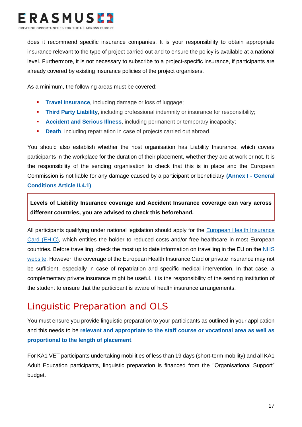

does it recommend specific insurance companies. It is your responsibility to obtain appropriate insurance relevant to the type of project carried out and to ensure the policy is available at a national level. Furthermore, it is not necessary to subscribe to a project-specific insurance, if participants are already covered by existing insurance policies of the project organisers.

As a minimum, the following areas must be covered:

- **Travel Insurance**, including damage or loss of luggage;
- **Third Party Liability**, including professional indemnity or insurance for responsibility;
- **Accident and Serious Illness**, including permanent or temporary incapacity;
- **Death**, including repatriation in case of projects carried out abroad.

You should also establish whether the host organisation has Liability Insurance, which covers participants in the workplace for the duration of their placement, whether they are at work or not. It is the responsibility of the sending organisation to check that this is in place and the European Commission is not liable for any damage caused by a participant or beneficiary **(Annex I - General Conditions Article II.4.1)**.

**Levels of Liability Insurance coverage and Accident Insurance coverage can vary across different countries, you are advised to check this beforehand.**

All participants qualifying under national legislation should apply for the European Health Insurance [Card \(EHIC\),](http://www.nhs.uk/ehic) which entitles the holder to reduced costs and/or free healthcare in most European countries. Before travelling, check the most up to date information on travelling in the EU on the [NHS](https://www.nhs.uk/using-the-nhs/healthcare-abroad/healthcare-when-travelling-abroad/travelling-in-the-european-economic-area-eea-and-switzerland/)  [website.](https://www.nhs.uk/using-the-nhs/healthcare-abroad/healthcare-when-travelling-abroad/travelling-in-the-european-economic-area-eea-and-switzerland/) However, the coverage of the European Health Insurance Card or private insurance may not be sufficient, especially in case of repatriation and specific medical intervention. In that case, a complementary private insurance might be useful. It is the responsibility of the sending institution of the student to ensure that the participant is aware of health insurance arrangements.

## <span id="page-17-0"></span>Linguistic Preparation and OLS

You must ensure you provide linguistic preparation to your participants as outlined in your application and this needs to be **relevant and appropriate to the staff course or vocational area as well as proportional to the length of placement**.

For KA1 VET participants undertaking mobilities of less than 19 days (short-term mobility) and all KA1 Adult Education participants, linguistic preparation is financed from the "Organisational Support" budget.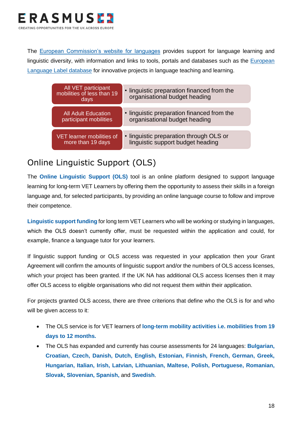

The [European Commission's website for languages](http://ec.europa.eu/languages/index_en.htm) provides support for language learning and linguistic diversity, with information and links to tools, portals and databases such as the **European** [Language Label database](http://ec.europa.eu/education/language/label/label_public/index.cfm?CFID=2530517&CFTOKEN=30563678&jsessionid=13edf3b9669eb2bdac0a1c5fd335737512a4TR) for innovative projects in language teaching and learning.

| All VET participant<br>mobilities of less than 19<br>days | • linguistic preparation financed from the<br>organisational budget heading |
|-----------------------------------------------------------|-----------------------------------------------------------------------------|
| <b>All Adult Education</b>                                | • linguistic preparation financed from the                                  |
| participant mobilities                                    | organisational budget heading                                               |
| <b>VET learner mobilities of</b>                          | • linguistic preparation through OLS or                                     |
| more than 19 days                                         | linguistic support budget heading                                           |

### <span id="page-18-0"></span>Online Linguistic Support (OLS)

The **Online Linguistic Support (OLS)** tool is an online platform designed to support language learning for long-term VET Learners by offering them the opportunity to assess their skills in a foreign language and, for selected participants, by providing an online language course to follow and improve their competence.

**Linguistic support funding** for long term VET Learners who will be working or studying in languages, which the OLS doesn't currently offer, must be requested within the application and could, for example, finance a language tutor for your learners.

If linguistic support funding or OLS access was requested in your application then your Grant Agreement will confirm the amounts of linguistic support and/or the numbers of OLS access licenses, which your project has been granted. If the UK NA has additional OLS access licenses then it may offer OLS access to eligible organisations who did not request them within their application.

For projects granted OLS access, there are three criterions that define who the OLS is for and who will be given access to it:

- The OLS service is for VET learners of **long-term mobility activities i.e. mobilities from 19 days to 12 months.**
- The OLS has expanded and currently has course assessments for 24 languages: **Bulgarian, Croatian, Czech, Danish, Dutch, English, Estonian, Finnish, French, German, Greek, Hungarian, Italian, Irish, Latvian, Lithuanian, Maltese, Polish, Portuguese, Romanian, Slovak, Slovenian, Spanish,** and **Swedish**.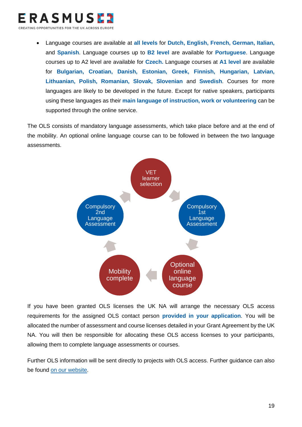

CREATING OPPORTUNITIES FOR THE UK ACROSS EUROPI

• Language courses are available at **all levels** for **Dutch, English, French, German, Italian,**  and **Spanish**. Language courses up to **B2 level** are available for **Portuguese**. Language courses up to A2 level are available for **Czech.** Language courses at **A1 level** are available for **Bulgarian, Croatian, Danish, Estonian, Greek, Finnish, Hungarian, Latvian, Lithuanian, Polish, Romanian, Slovak, Slovenian** and **Swedish**. Courses for more languages are likely to be developed in the future. Except for native speakers, participants using these languages as their **main language of instruction, work or volunteering** can be supported through the online service.

The OLS consists of mandatory language assessments, which take place before and at the end of the mobility. An optional online language course can to be followed in between the two language assessments.



If you have been granted OLS licenses the UK NA will arrange the necessary OLS access requirements for the assigned OLS contact person **provided in your application**. You will be allocated the number of assessment and course licenses detailed in your Grant Agreement by the UK NA. You will then be responsible for allocating these OLS access licenses to your participants, allowing them to complete language assessments or courses.

Further OLS information will be sent directly to projects with OLS access. Further guidance can also be found [on our website.](https://www.erasmusplus.org.uk/it-tools)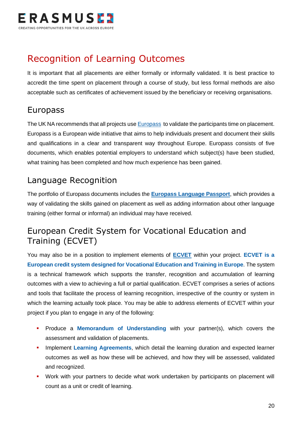

## <span id="page-20-0"></span>Recognition of Learning Outcomes

It is important that all placements are either formally or informally validated. It is best practice to accredit the time spent on placement through a course of study, but less formal methods are also acceptable such as certificates of achievement issued by the beneficiary or receiving organisations.

### <span id="page-20-1"></span>Europass

The UK NA recommends that all projects us[e Europass](http://www.uknec.org.uk/) to validate the participants time on placement. Europass is a European wide initiative that aims to help individuals present and document their skills and qualifications in a clear and transparent way throughout Europe. Europass consists of five documents, which enables potential employers to understand which subject(s) have been studied, what training has been completed and how much experience has been gained.

### <span id="page-20-2"></span>Language Recognition

The portfolio of Europass documents includes the **[Europass Language Passport](http://europass.cedefop.europa.eu/documents/european-skills-passport/language-passport)**, which provides a way of validating the skills gained on placement as well as adding information about other language training (either formal or informal) an individual may have received.

### <span id="page-20-3"></span>European Credit System for Vocational Education and Training (ECVET)

You may also be in a position to implement elements of **[ECVET](https://www.erasmusplus.org.uk/how-you-can-use-ecvet)** within your project. **ECVET is a European credit system designed for Vocational Education and Training in Europe**. The system is a technical framework which supports the transfer, recognition and accumulation of learning outcomes with a view to achieving a full or partial qualification. ECVET comprises a series of actions and tools that facilitate the process of learning recognition, irrespective of the country or system in which the learning actually took place. You may be able to address elements of ECVET within your project if you plan to engage in any of the following:

- **•** Produce a **Memorandum of Understanding** with your partner(s), which covers the assessment and validation of placements.
- **.** Implement Learning Agreements, which detail the learning duration and expected learner outcomes as well as how these will be achieved, and how they will be assessed, validated and recognized.
- **•** Work with your partners to decide what work undertaken by participants on placement will count as a unit or credit of learning.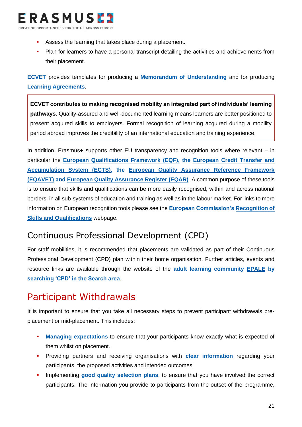

- Assess the learning that takes place during a placement.
- **•** Plan for learners to have a personal transcript detailing the activities and achievements from their placement.

**[ECVET](https://www.erasmusplus.org.uk/how-you-can-use-ecvet)** provides templates for producing a **Memorandum of Understanding** and for producing **Learning Agreements**.

**ECVET contributes to making recognised mobility an integrated part of individuals' learning pathways.** Quality-assured and well-documented learning means learners are better positioned to present acquired skills to employers. Formal recognition of learning acquired during a mobility period abroad improves the credibility of an international education and training experience.

In addition, Erasmus+ supports other EU transparency and recognition tools where relevant – in particular the **[European Qualifications Framework \(EQF\),](https://ec.europa.eu/ploteus/search/site?f%5b0%5d=im_field_entity_type%3A97) the [European Credit Transfer and](http://ec.europa.eu/education/ects/ects_en.htm)  [Accumulation System \(ECTS\),](http://ec.europa.eu/education/ects/ects_en.htm) the [European Quality Assurance Reference Framework](http://www.eqavet.eu/gns/policy-context/european-quality-assurance-reference-framework.aspx)  [\(EQAVET\)](http://www.eqavet.eu/gns/policy-context/european-quality-assurance-reference-framework.aspx) and [European Quality Assurance Register \(EQAR\)](https://www.eqar.eu/)**. A common purpose of these tools is to ensure that skills and qualifications can be more easily recognised, within and across national borders, in all sub-systems of education and training as well as in the labour market. For links to more information on European recognition tools please see the **European Commission's [Recognition of](http://ec.europa.eu/education/policy/strategic-framework/skills-qualifications_en.htm)  [Skills and Qualifications](http://ec.europa.eu/education/policy/strategic-framework/skills-qualifications_en.htm)** webpage.

### <span id="page-21-0"></span>Continuous Professional Development (CPD)

For staff mobilities, it is recommended that placements are validated as part of their Continuous Professional Development (CPD) plan within their home organisation. Further articles, events and resource links are available through the website of the **adult learning community [EPALE](https://ec.europa.eu/epale/) by searching 'CPD' in the Search area**.

## <span id="page-21-1"></span>Participant Withdrawals

It is important to ensure that you take all necessary steps to prevent participant withdrawals preplacement or mid-placement. This includes:

- **Managing expectations** to ensure that your participants know exactly what is expected of them whilst on placement.
- **•** Providing partners and receiving organisations with **clear information** regarding your participants, the proposed activities and intended outcomes.
- Implementing **good quality selection plans**, to ensure that you have involved the correct participants. The information you provide to participants from the outset of the programme,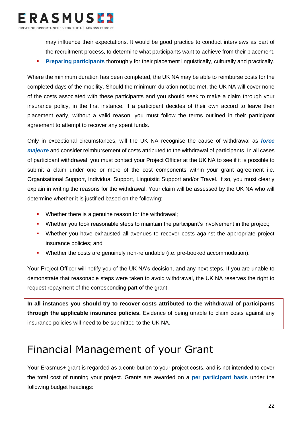

may influence their expectations. It would be good practice to conduct interviews as part of the recruitment process, to determine what participants want to achieve from their placement.

**• Preparing participants** thoroughly for their placement linguistically, culturally and practically.

Where the minimum duration has been completed, the UK NA may be able to reimburse costs for the completed days of the mobility. Should the minimum duration not be met, the UK NA will cover none of the costs associated with these participants and you should seek to make a claim through your insurance policy, in the first instance. If a participant decides of their own accord to leave their placement early, without a valid reason, you must follow the terms outlined in their participant agreement to attempt to recover any spent funds.

Only in exceptional circumstances, will the UK NA recognise the cause of withdrawal as *force majeure* and consider reimbursement of costs attributed to the withdrawal of participants. In all cases of participant withdrawal, you must contact your Project Officer at the UK NA to see if it is possible to submit a claim under one or more of the cost components within your grant agreement i.e. Organisational Support, Individual Support, Linguistic Support and/or Travel. If so, you must clearly explain in writing the reasons for the withdrawal. Your claim will be assessed by the UK NA who will determine whether it is justified based on the following:

- **•** Whether there is a genuine reason for the withdrawal;
- Whether you took reasonable steps to maintain the participant's involvement in the project;
- Whether you have exhausted all avenues to recover costs against the appropriate project insurance policies; and
- Whether the costs are genuinely non-refundable (i.e. pre-booked accommodation).

Your Project Officer will notify you of the UK NA's decision, and any next steps. If you are unable to demonstrate that reasonable steps were taken to avoid withdrawal, the UK NA reserves the right to request repayment of the corresponding part of the grant.

**In all instances you should try to recover costs attributed to the withdrawal of participants through the applicable insurance policies.** Evidence of being unable to claim costs against any insurance policies will need to be submitted to the UK NA.

## <span id="page-22-0"></span>Financial Management of your Grant

Your Erasmus+ grant is regarded as a contribution to your project costs, and is not intended to cover the total cost of running your project. Grants are awarded on a **per participant basis** under the following budget headings: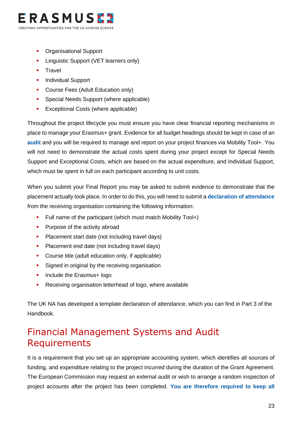

- **Organisational Support**
- **E.** Linguistic Support (VET learners only)
- Travel
- **•** Individual Support
- Course Fees (Adult Education only)
- **•** Special Needs Support (where applicable)
- **Exceptional Costs (where applicable)**

Throughout the project lifecycle you must ensure you have clear financial reporting mechanisms in place to manage your Erasmus+ grant. Evidence for all budget headings should be kept in case of an **audit** and you will be required to manage and report on your project finances via Mobility Tool+. You will not need to demonstrate the actual costs spent during your project except for Special Needs Support and Exceptional Costs, which are based on the actual expenditure, and Individual Support, which must be spent in full on each participant according to unit costs.

When you submit your Final Report you may be asked to submit evidence to demonstrate that the placement actually took place. In order to do this, you will need to submit a **declaration of attendance** from the receiving organisation containing the following information:

- Full name of the participant (which must match Mobility Tool+)
- **•** Purpose of the activity abroad
- **•** Placement start date (not including travel days)
- **•** Placement end date (not including travel days)
- Course title (adult education only, if applicable)
- **EXECUTE:** Signed in original by the receiving organisation
- **•** Include the Erasmus+ logo
- Receiving organisation letterhead of logo, where available

The UK NA has developed a template declaration of attendance, which you can find in Part 3 of the Handbook.

### <span id="page-23-0"></span>Financial Management Systems and Audit Requirements

It is a requirement that you set up an appropriate accounting system, which identifies all sources of funding, and expenditure relating to the project incurred during the duration of the Grant Agreement. The European Commission may request an external audit or wish to arrange a random inspection of project accounts after the project has been completed. **You are therefore required to keep all**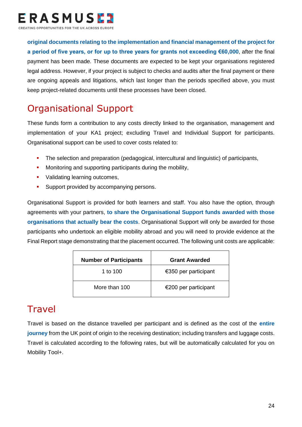

**original documents relating to the implementation and financial management of the project for a period of five years, or for up to three years for grants not exceeding €60,000**, after the final payment has been made. These documents are expected to be kept your organisations registered legal address. However, if your project is subject to checks and audits after the final payment or there are ongoing appeals and litigations, which last longer than the periods specified above, you must keep project-related documents until these processes have been closed.

## <span id="page-24-0"></span>Organisational Support

These funds form a contribution to any costs directly linked to the organisation, management and implementation of your KA1 project; excluding Travel and Individual Support for participants. Organisational support can be used to cover costs related to:

- The selection and preparation (pedagogical, intercultural and linguistic) of participants,
- **■** Monitoring and supporting participants during the mobility,
- Validating learning outcomes.
- **E** Support provided by accompanying persons.

Organisational Support is provided for both learners and staff. You also have the option, through agreements with your partners, **to share the Organisational Support funds awarded with those organisations that actually bear the costs**. Organisational Support will only be awarded for those participants who undertook an eligible mobility abroad and you will need to provide evidence at the Final Report stage demonstrating that the placement occurred. The following unit costs are applicable:

| <b>Number of Participants</b> | <b>Grant Awarded</b> |
|-------------------------------|----------------------|
| 1 to $100$                    | €350 per participant |
| More than 100                 | €200 per participant |

## <span id="page-24-1"></span>Travel

Travel is based on the distance travelled per participant and is defined as the cost of the **entire journey** from the UK point of origin to the receiving destination; including transfers and luggage costs. Travel is calculated according to the following rates, but will be automatically calculated for you on Mobility Tool+.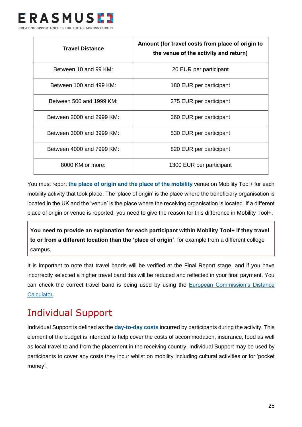

| <b>Travel Distance</b>    | Amount (for travel costs from place of origin to<br>the venue of the activity and return) |
|---------------------------|-------------------------------------------------------------------------------------------|
| Between 10 and 99 KM:     | 20 EUR per participant                                                                    |
| Between 100 and 499 KM:   | 180 EUR per participant                                                                   |
| Between 500 and 1999 KM:  | 275 EUR per participant                                                                   |
| Between 2000 and 2999 KM: | 360 EUR per participant                                                                   |
| Between 3000 and 3999 KM: | 530 EUR per participant                                                                   |
| Between 4000 and 7999 KM: | 820 EUR per participant                                                                   |
| 8000 KM or more:          | 1300 EUR per participant                                                                  |

You must report **the place of origin and the place of the mobility** venue on Mobility Tool+ for each mobility activity that took place. The 'place of origin' is the place where the beneficiary organisation is located in the UK and the 'venue' is the place where the receiving organisation is located. If a different place of origin or venue is reported, you need to give the reason for this difference in Mobility Tool+.

**You need to provide an explanation for each participant within Mobility Tool+ if they travel to or from a different location than the 'place of origin'**, for example from a different college campus.

It is important to note that travel bands will be verified at the Final Report stage, and if you have incorrectly selected a higher travel band this will be reduced and reflected in your final payment. You can check the correct travel band is being used by using the [European Commission's Distance](http://ec.europa.eu/programmes/erasmus-plus/tools/distance_en.htm)  [Calculator.](http://ec.europa.eu/programmes/erasmus-plus/tools/distance_en.htm)

## <span id="page-25-0"></span>Individual Support

Individual Support is defined as the **day-to-day costs** incurred by participants during the activity. This element of the budget is intended to help cover the costs of accommodation, insurance, food as well as local travel to and from the placement in the receiving country. Individual Support may be used by participants to cover any costs they incur whilst on mobility including cultural activities or for 'pocket money'.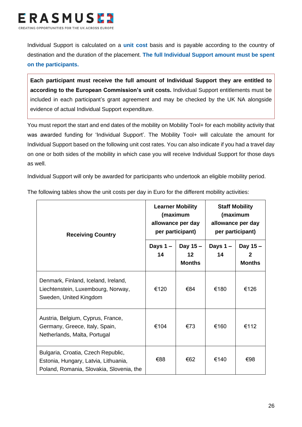

Individual Support is calculated on a **unit cost** basis and is payable according to the country of destination and the duration of the placement. **The full Individual Support amount must be spent on the participants.** 

**Each participant must receive the full amount of Individual Support they are entitled to according to the European Commission's unit costs.** Individual Support entitlements must be included in each participant's grant agreement and may be checked by the UK NA alongside evidence of actual Individual Support expenditure.

You must report the start and end dates of the mobility on Mobility Tool+ for each mobility activity that was awarded funding for 'Individual Support'. The Mobility Tool+ will calculate the amount for Individual Support based on the following unit cost rates. You can also indicate if you had a travel day on one or both sides of the mobility in which case you will receive Individual Support for those days as well.

Individual Support will only be awarded for participants who undertook an eligible mobility period.

| <b>Receiving Country</b>                                                                                               | <b>Learner Mobility</b><br>(maximum<br>allowance per day<br>per participant) |                                 | <b>Staff Mobility</b><br>(maximum<br>allowance per day<br>per participant) |                                |
|------------------------------------------------------------------------------------------------------------------------|------------------------------------------------------------------------------|---------------------------------|----------------------------------------------------------------------------|--------------------------------|
|                                                                                                                        | Days $1 -$<br>14                                                             | Day 15 -<br>12<br><b>Months</b> | Days 1-<br>14                                                              | Day 15 -<br>2<br><b>Months</b> |
| Denmark, Finland, Iceland, Ireland,<br>Liechtenstein, Luxembourg, Norway,<br>Sweden, United Kingdom                    | €120                                                                         | €84                             | €180                                                                       | €126                           |
| Austria, Belgium, Cyprus, France,<br>Germany, Greece, Italy, Spain,<br>Netherlands, Malta, Portugal                    | €104                                                                         | €73                             | €160                                                                       | €112                           |
| Bulgaria, Croatia, Czech Republic,<br>Estonia, Hungary, Latvia, Lithuania,<br>Poland, Romania, Slovakia, Slovenia, the | €88                                                                          | €62                             | €140                                                                       | €98                            |

The following tables show the unit costs per day in Euro for the different mobility activities: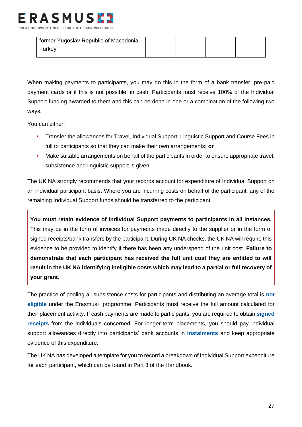

| former Yugoslav Republic of Macedonia, |  |  |
|----------------------------------------|--|--|
| ⊺urkey                                 |  |  |

When making payments to participants, you may do this in the form of a bank transfer, pre-paid payment cards or if this is not possible, in cash. Participants must receive 100% of the Individual Support funding awarded to them and this can be done in one or a combination of the following two ways.

You can either:

- **EXECT:** Transfer the allowances for Travel, Individual Support, Linguistic Support and Course Fees in full to participants so that they can make their own arrangements; **or**
- Make suitable arrangements on behalf of the participants in order to ensure appropriate travel, subsistence and linguistic support is given.

The UK NA strongly recommends that your records account for expenditure of Individual Support on an individual participant basis. Where you are incurring costs on behalf of the participant, any of the remaining Individual Support funds should be transferred to the participant.

**You must retain evidence of Individual Support payments to participants in all instances.**  This may be in the form of invoices for payments made directly to the supplier or in the form of signed receipts/bank transfers by the participant. During UK NA checks, the UK NA will require this evidence to be provided to identify if there has been any underspend of the unit cost. **Failure to demonstrate that each participant has received the full unit cost they are entitled to will result in the UK NA identifying ineligible costs which may lead to a partial or full recovery of your grant.**

The practice of pooling all subsistence costs for participants and distributing an average total is **not eligible** under the Erasmus+ programme. Participants must receive the full amount calculated for their placement activity. If cash payments are made to participants, you are required to obtain **signed receipts** from the individuals concerned. For longer-term placements, you should pay individual support allowances directly into participants' bank accounts in **instalments** and keep appropriate evidence of this expenditure.

The UK NA has developed a template for you to record a breakdown of Individual Support expenditure for each participant, which can be found in Part 3 of the Handbook.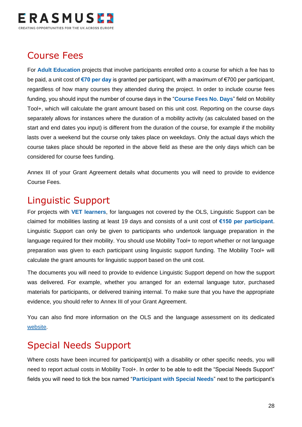

## <span id="page-28-0"></span>Course Fees

For **Adult Education** projects that involve participants enrolled onto a course for which a fee has to be paid, a unit cost of **€70 per day** is granted per participant, with a maximum of €700 per participant, regardless of how many courses they attended during the project. In order to include course fees funding, you should input the number of course days in the "**Course Fees No. Days**" field on Mobility Tool+, which will calculate the grant amount based on this unit cost. Reporting on the course days separately allows for instances where the duration of a mobility activity (as calculated based on the start and end dates you input) is different from the duration of the course, for example if the mobility lasts over a weekend but the course only takes place on weekdays. Only the actual days which the course takes place should be reported in the above field as these are the only days which can be considered for course fees funding.

Annex III of your Grant Agreement details what documents you will need to provide to evidence Course Fees.

### <span id="page-28-1"></span>Linguistic Support

For projects with **VET learners**, for languages not covered by the OLS, Linguistic Support can be claimed for mobilities lasting at least 19 days and consists of a unit cost of **€150 per participant**. Linguistic Support can only be given to participants who undertook language preparation in the language required for their mobility. You should use Mobility Tool+ to report whether or not language preparation was given to each participant using linguistic support funding. The Mobility Tool+ will calculate the grant amounts for linguistic support based on the unit cost.

The documents you will need to provide to evidence Linguistic Support depend on how the support was delivered. For example, whether you arranged for an external language tutor, purchased materials for participants, or delivered training internal. To make sure that you have the appropriate evidence, you should refer to Annex III of your Grant Agreement.

You can also find more information on the OLS and the language assessment on its dedicated [website.](https://erasmusplusols.eu/favicon.ico)

### <span id="page-28-2"></span>Special Needs Support

Where costs have been incurred for participant(s) with a disability or other specific needs, you will need to report actual costs in Mobility Tool+. In order to be able to edit the "Special Needs Support" fields you will need to tick the box named "**Participant with Special Needs**" next to the participant's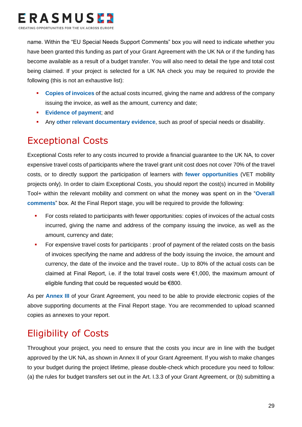

name. Within the "EU Special Needs Support Comments" box you will need to indicate whether you have been granted this funding as part of your Grant Agreement with the UK NA or if the funding has become available as a result of a budget transfer. You will also need to detail the type and total cost being claimed. If your project is selected for a UK NA check you may be required to provide the following (this is not an exhaustive list):

- **Copies of invoices** of the actual costs incurred, giving the name and address of the company issuing the invoice, as well as the amount, currency and date;
- **Evidence of payment**; and
- **EXECT:** Any other relevant documentary evidence, such as proof of special needs or disability.

## <span id="page-29-0"></span>Exceptional Costs

Exceptional Costs refer to any costs incurred to provide a financial guarantee to the UK NA, to cover expensive travel costs of participants where the travel grant unit cost does not cover 70% of the travel costs, or to directly support the participation of learners with **fewer opportunities** (VET mobility projects only). In order to claim Exceptional Costs, you should report the cost(s) incurred in Mobility Tool+ within the relevant mobility and comment on what the money was spent on in the "**Overall comments**" box. At the Final Report stage, you will be required to provide the following:

- **•** For costs related to participants with fewer opportunities: copies of invoices of the actual costs incurred, giving the name and address of the company issuing the invoice, as well as the amount, currency and date;
- For expensive travel costs for participants : proof of payment of the related costs on the basis of invoices specifying the name and address of the body issuing the invoice, the amount and currency, the date of the invoice and the travel route.. Up to 80% of the actual costs can be claimed at Final Report, i.e. if the total travel costs were €1,000, the maximum amount of eligible funding that could be requested would be €800.

As per **Annex III** of your Grant Agreement, you need to be able to provide electronic copies of the above supporting documents at the Final Report stage. You are recommended to upload scanned copies as annexes to your report.

## <span id="page-29-1"></span>Eligibility of Costs

Throughout your project, you need to ensure that the costs you incur are in line with the budget approved by the UK NA, as shown in Annex II of your Grant Agreement. If you wish to make changes to your budget during the project lifetime, please double-check which procedure you need to follow: (a) the rules for budget transfers set out in the Art. I.3.3 of your Grant Agreement, or (b) submitting a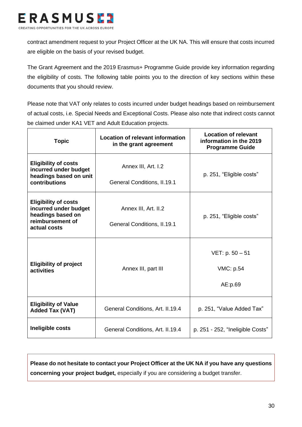

contract amendment request to your Project Officer at the UK NA. This will ensure that costs incurred are eligible on the basis of your revised budget.

The Grant Agreement and the 2019 Erasmus+ Programme Guide provide key information regarding the eligibility of costs. The following table points you to the direction of key sections within these documents that you should review.

Please note that VAT only relates to costs incurred under budget headings based on reimbursement of actual costs, i.e. Special Needs and Exceptional Costs. Please also note that indirect costs cannot be claimed under KA1 VET and Adult Education projects.

| <b>Topic</b>                                                                                                  | <b>Location of relevant information</b><br>in the grant agreement | <b>Location of relevant</b><br>information in the 2019<br><b>Programme Guide</b> |
|---------------------------------------------------------------------------------------------------------------|-------------------------------------------------------------------|----------------------------------------------------------------------------------|
| <b>Eligibility of costs</b><br>incurred under budget<br>headings based on unit<br>contributions               | Annex III, Art. I.2<br><b>General Conditions, II.19.1</b>         | p. 251, "Eligible costs"                                                         |
| <b>Eligibility of costs</b><br>incurred under budget<br>headings based on<br>reimbursement of<br>actual costs | Annex III, Art. II.2<br>General Conditions, II.19.1               | p. 251, "Eligible costs"                                                         |
| <b>Eligibility of project</b><br>activities                                                                   | Annex III, part III                                               | $VET: p. 50 - 51$<br>VMC: p.54<br>AE:p.69                                        |
| <b>Eligibility of Value</b><br><b>Added Tax (VAT)</b>                                                         | General Conditions, Art. II.19.4                                  | p. 251, "Value Added Tax"                                                        |
| Ineligible costs                                                                                              | General Conditions, Art. II.19.4                                  | p. 251 - 252, "Ineligible Costs"                                                 |

<span id="page-30-0"></span>**Please do not hesitate to contact your Project Officer at the UK NA if you have any questions concerning your project budget,** especially if you are considering a budget transfer.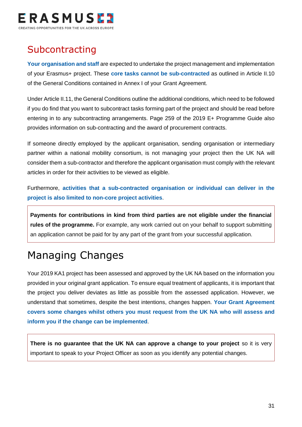

## **Subcontracting**

**Your organisation and staff** are expected to undertake the project management and implementation of your Erasmus+ project. These **core tasks cannot be sub-contracted** as outlined in Article II.10 of the General Conditions contained in Annex I of your Grant Agreement.

Under Article II.11, the General Conditions outline the additional conditions, which need to be followed if you do find that you want to subcontract tasks forming part of the project and should be read before entering in to any subcontracting arrangements. Page 259 of the 2019 E+ Programme Guide also provides information on sub-contracting and the award of procurement contracts.

If someone directly employed by the applicant organisation, sending organisation or intermediary partner within a national mobility consortium, is not managing your project then the UK NA will consider them a sub-contractor and therefore the applicant organisation must comply with the relevant articles in order for their activities to be viewed as eligible.

Furthermore, **activities that a sub-contracted organisation or individual can deliver in the project is also limited to non-core project activities**.

**Payments for contributions in kind from third parties are not eligible under the financial rules of the programme.** For example, any work carried out on your behalf to support submitting an application cannot be paid for by any part of the grant from your successful application.

## <span id="page-31-0"></span>Managing Changes

Your 2019 KA1 project has been assessed and approved by the UK NA based on the information you provided in your original grant application. To ensure equal treatment of applicants, it is important that the project you deliver deviates as little as possible from the assessed application. However, we understand that sometimes, despite the best intentions, changes happen. **Your Grant Agreement covers some changes whilst others you must request from the UK NA who will assess and inform you if the change can be implemented**.

<span id="page-31-1"></span>**There is no guarantee that the UK NA can approve a change to your project** so it is very important to speak to your Project Officer as soon as you identify any potential changes.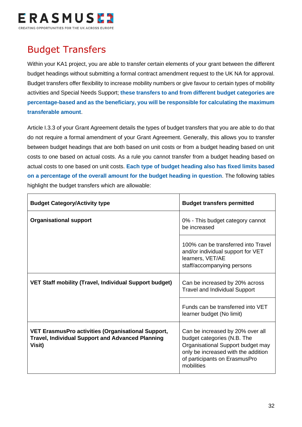

## Budget Transfers

Within your KA1 project, you are able to transfer certain elements of your grant between the different budget headings without submitting a formal contract amendment request to the UK NA for approval. Budget transfers offer flexibility to increase mobility numbers or give favour to certain types of mobility activities and Special Needs Support; **these transfers to and from different budget categories are percentage-based and as the beneficiary, you will be responsible for calculating the maximum transferable amount**.

Article I.3.3 of your Grant Agreement details the types of budget transfers that you are able to do that do not require a formal amendment of your Grant Agreement. Generally, this allows you to transfer between budget headings that are both based on unit costs or from a budget heading based on unit costs to one based on actual costs. As a rule you cannot transfer from a budget heading based on actual costs to one based on unit costs. **Each type of budget heading also has fixed limits based on a percentage of the overall amount for the budget heading in question**. The following tables highlight the budget transfers which are allowable:

| <b>Budget Category/Activity type</b>                                                                                           | <b>Budget transfers permitted</b>                                                                                                                                                          |
|--------------------------------------------------------------------------------------------------------------------------------|--------------------------------------------------------------------------------------------------------------------------------------------------------------------------------------------|
| <b>Organisational support</b>                                                                                                  | 0% - This budget category cannot<br>be increased                                                                                                                                           |
|                                                                                                                                | 100% can be transferred into Travel<br>and/or individual support for VET<br>learners, VET/AE<br>staff/accompanying persons                                                                 |
| <b>VET Staff mobility (Travel, Individual Support budget)</b>                                                                  | Can be increased by 20% across<br><b>Travel and Individual Support</b>                                                                                                                     |
|                                                                                                                                | Funds can be transferred into VET<br>learner budget (No limit)                                                                                                                             |
| <b>VET ErasmusPro activities (Organisational Support,</b><br><b>Travel, Individual Support and Advanced Planning</b><br>Visit) | Can be increased by 20% over all<br>budget categories (N.B. The<br>Organisational Support budget may<br>only be increased with the addition<br>of participants on ErasmusPro<br>mobilities |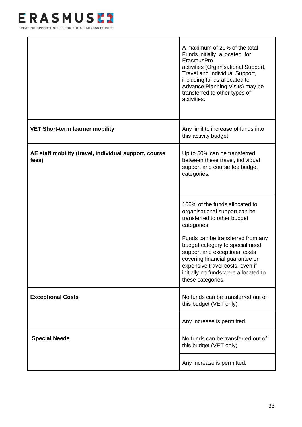

<span id="page-33-0"></span>

|                                                                | A maximum of 20% of the total<br>Funds initially allocated for<br>ErasmusPro<br>activities (Organisational Support,<br>Travel and Individual Support,<br>including funds allocated to<br>Advance Planning Visits) may be<br>transferred to other types of<br>activities. |
|----------------------------------------------------------------|--------------------------------------------------------------------------------------------------------------------------------------------------------------------------------------------------------------------------------------------------------------------------|
| <b>VET Short-term learner mobility</b>                         | Any limit to increase of funds into<br>this activity budget                                                                                                                                                                                                              |
| AE staff mobility (travel, individual support, course<br>fees) | Up to 50% can be transferred<br>between these travel, individual<br>support and course fee budget<br>categories.                                                                                                                                                         |
|                                                                | 100% of the funds allocated to<br>organisational support can be<br>transferred to other budget<br>categories                                                                                                                                                             |
|                                                                | Funds can be transferred from any<br>budget category to special need<br>support and exceptional costs<br>covering financial guarantee or<br>expensive travel costs, even if<br>initially no funds were allocated to<br>these categories.                                 |
| <b>Exceptional Costs</b>                                       | No funds can be transferred out of<br>this budget (VET only)                                                                                                                                                                                                             |
|                                                                | Any increase is permitted.                                                                                                                                                                                                                                               |
| <b>Special Needs</b>                                           | No funds can be transferred out of<br>this budget (VET only)                                                                                                                                                                                                             |
|                                                                | Any increase is permitted.                                                                                                                                                                                                                                               |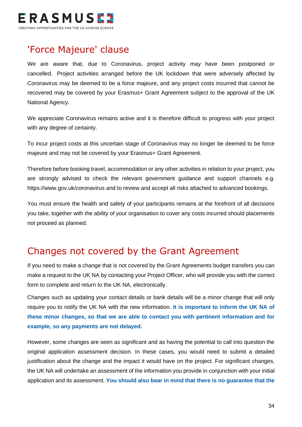

### 'Force Majeure' clause

We are aware that, due to Coronavirus, project activity may have been postponed or cancelled. Project activities arranged before the UK lockdown that were adversely affected by Coronavirus may be deemed to be a force majeure, and any project costs incurred that cannot be recovered may be covered by your Erasmus+ Grant Agreement subject to the approval of the UK National Agency.

We appreciate Coronavirus remains active and it is therefore difficult to progress with your project with any degree of certainty.

To incur project costs at this uncertain stage of Coronavirus may no longer be deemed to be force majeure and may not be covered by your Erasmus+ Grant Agreement.

Therefore before booking travel, accommodation or any other activities in relation to your project, you are strongly advised to check the relevant government guidance and support channels e.g. <https://www.gov.uk/coronavirus> and to review and accept all risks attached to advanced bookings.

You must ensure the health and safety of your participants remains at the forefront of all decisions you take, together with the ability of your organisation to cover any costs incurred should placements not proceed as planned.

### Changes not covered by the Grant Agreement

If you need to make a change that is not covered by the Grant Agreements budget transfers you can make a request to the UK NA by contacting your Project Officer, who will provide you with the correct form to complete and return to the UK NA, electronically.

Changes such as updating your contact details or bank details will be a minor change that will only require you to notify the UK NA with the new information. **It is important to inform the UK NA of these minor changes, so that we are able to contact you with pertinent information and for example, so any payments are not delayed.**

However, some changes are seen as significant and as having the potential to call into question the original application assessment decision. In these cases, you would need to submit a detailed justification about the change and the impact it would have on the project. For significant changes, the UK NA will undertake an assessment of the information you provide in conjunction with your initial application and its assessment. **You should also bear in mind that there is no guarantee that the**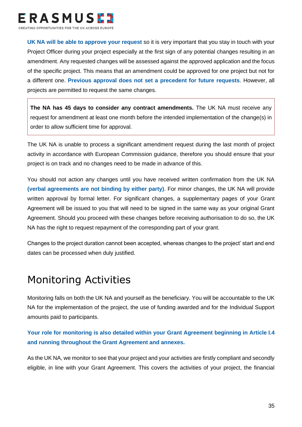

**UK NA will be able to approve your request** so it is very important that you stay in touch with your Project Officer during your project especially at the first sign of any potential changes resulting in an amendment. Any requested changes will be assessed against the approved application and the focus of the specific project. This means that an amendment could be approved for one project but not for a different one. **Previous approval does not set a precedent for future requests**. However, all projects are permitted to request the same changes.

**The NA has 45 days to consider any contract amendments.** The UK NA must receive any request for amendment at least one month before the intended implementation of the change(s) in order to allow sufficient time for approval.

The UK NA is unable to process a significant amendment request during the last month of project activity in accordance with European Commission guidance, therefore you should ensure that your project is on track and no changes need to be made in advance of this.

You should not action any changes until you have received written confirmation from the UK NA **(verbal agreements are not binding by either party)**. For minor changes, the UK NA will provide written approval by formal letter. For significant changes, a supplementary pages of your Grant Agreement will be issued to you that will need to be signed in the same way as your original Grant Agreement. Should you proceed with these changes before receiving authorisation to do so, the UK NA has the right to request repayment of the corresponding part of your grant.

Changes to the project duration cannot been accepted, whereas changes to the project' start and end dates can be processed when duly justified.

## <span id="page-35-0"></span>Monitoring Activities

Monitoring falls on both the UK NA and yourself as the beneficiary. You will be accountable to the UK NA for the implementation of the project, the use of funding awarded and for the Individual Support amounts paid to participants.

#### **Your role for monitoring is also detailed within your Grant Agreement beginning in Article I.4 and running throughout the Grant Agreement and annexes.**

As the UK NA, we monitor to see that your project and your activities are firstly compliant and secondly eligible, in line with your Grant Agreement. This covers the activities of your project, the financial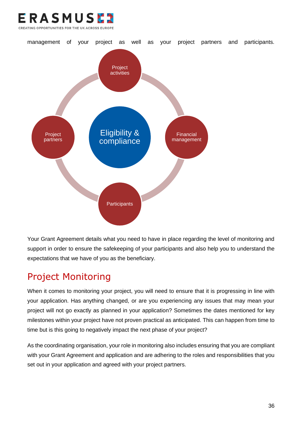



Your Grant Agreement details what you need to have in place regarding the level of monitoring and support in order to ensure the safekeeping of your participants and also help you to understand the expectations that we have of you as the beneficiary.

## <span id="page-36-0"></span>Project Monitoring

When it comes to monitoring your project, you will need to ensure that it is progressing in line with your application. Has anything changed, or are you experiencing any issues that may mean your project will not go exactly as planned in your application? Sometimes the dates mentioned for key milestones within your project have not proven practical as anticipated. This can happen from time to time but is this going to negatively impact the next phase of your project?

As the coordinating organisation, your role in monitoring also includes ensuring that you are compliant with your Grant Agreement and application and are adhering to the roles and responsibilities that you set out in your application and agreed with your project partners.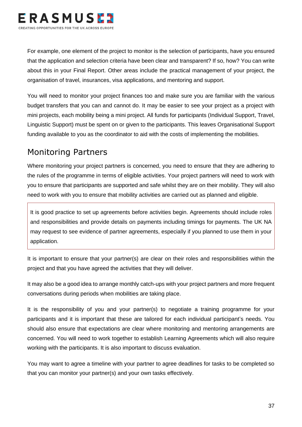

For example, one element of the project to monitor is the selection of participants, have you ensured that the application and selection criteria have been clear and transparent? If so, how? You can write about this in your Final Report. Other areas include the practical management of your project, the organisation of travel, insurances, visa applications, and mentoring and support.

You will need to monitor your project finances too and make sure you are familiar with the various budget transfers that you can and cannot do. It may be easier to see your project as a project with mini projects, each mobility being a mini project. All funds for participants (Individual Support, Travel, Linguistic Support) must be spent on or given to the participants. This leaves Organisational Support funding available to you as the coordinator to aid with the costs of implementing the mobilities.

### <span id="page-37-0"></span>Monitoring Partners

Where monitoring your project partners is concerned, you need to ensure that they are adhering to the rules of the programme in terms of eligible activities. Your project partners will need to work with you to ensure that participants are supported and safe whilst they are on their mobility. They will also need to work with you to ensure that mobility activities are carried out as planned and eligible.

It is good practice to set up agreements before activities begin. Agreements should include roles and responsibilities and provide details on payments including timings for payments. The UK NA may request to see evidence of partner agreements, especially if you planned to use them in your application.

It is important to ensure that your partner(s) are clear on their roles and responsibilities within the project and that you have agreed the activities that they will deliver.

It may also be a good idea to arrange monthly catch-ups with your project partners and more frequent conversations during periods when mobilities are taking place.

It is the responsibility of you and your partner(s) to negotiate a training programme for your participants and it is important that these are tailored for each individual participant's needs. You should also ensure that expectations are clear where monitoring and mentoring arrangements are concerned. You will need to work together to establish Learning Agreements which will also require working with the participants. It is also important to discuss evaluation.

You may want to agree a timeline with your partner to agree deadlines for tasks to be completed so that you can monitor your partner(s) and your own tasks effectively.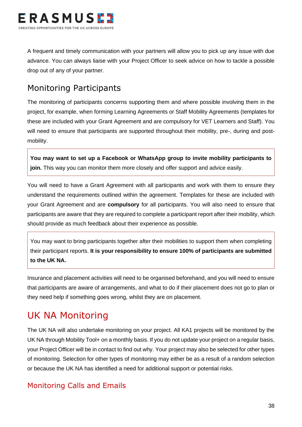

A frequent and timely communication with your partners will allow you to pick up any issue with due advance. You can always liaise with your Project Officer to seek advice on how to tackle a possible drop out of any of your partner.

### <span id="page-38-0"></span>Monitoring Participants

The monitoring of participants concerns supporting them and where possible involving them in the project, for example, when forming Learning Agreements or Staff Mobility Agreements (templates for these are included with your Grant Agreement and are compulsory for VET Learners and Staff). You will need to ensure that participants are supported throughout their mobility, pre-, during and postmobility.

**You may want to set up a Facebook or WhatsApp group to invite mobility participants to join.** This way you can monitor them more closely and offer support and advice easily.

You will need to have a Grant Agreement with all participants and work with them to ensure they understand the requirements outlined within the agreement. Templates for these are included with your Grant Agreement and are **compulsory** for all participants. You will also need to ensure that participants are aware that they are required to complete a participant report after their mobility, which should provide as much feedback about their experience as possible.

You may want to bring participants together after their mobilities to support them when completing their participant reports. **It is your responsibility to ensure 100% of participants are submitted to the UK NA.**

Insurance and placement activities will need to be organised beforehand, and you will need to ensure that participants are aware of arrangements, and what to do if their placement does not go to plan or they need help if something goes wrong, whilst they are on placement.

## <span id="page-38-1"></span>UK NA Monitoring

The UK NA will also undertake monitoring on your project. All KA1 projects will be monitored by the UK NA through Mobility Tool+ on a monthly basis. If you do not update your project on a regular basis, your Project Officer will be in contact to find out why. Your project may also be selected for other types of monitoring. Selection for other types of monitoring may either be as a result of a random selection or because the UK NA has identified a need for additional support or potential risks.

#### <span id="page-38-2"></span>Monitoring Calls and Emails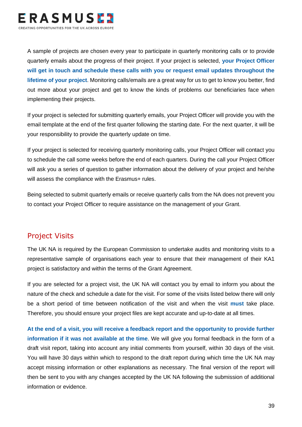

A sample of projects are chosen every year to participate in quarterly monitoring calls or to provide quarterly emails about the progress of their project. If your project is selected, **your Project Officer will get in touch and schedule these calls with you or request email updates throughout the lifetime of your project**. Monitoring calls/emails are a great way for us to get to know you better, find out more about your project and get to know the kinds of problems our beneficiaries face when implementing their projects.

If your project is selected for submitting quarterly emails, your Project Officer will provide you with the email template at the end of the first quarter following the starting date. For the next quarter, it will be your responsibility to provide the quarterly update on time.

If your project is selected for receiving quarterly monitoring calls, your Project Officer will contact you to schedule the call some weeks before the end of each quarters. During the call your Project Officer will ask you a series of question to gather information about the delivery of your project and he/she will assess the compliance with the Erasmus+ rules.

Being selected to submit quarterly emails or receive quarterly calls from the NA does not prevent you to contact your Project Officer to require assistance on the management of your Grant.

#### <span id="page-39-0"></span>Project Visits

The UK NA is required by the European Commission to undertake audits and monitoring visits to a representative sample of organisations each year to ensure that their management of their KA1 project is satisfactory and within the terms of the Grant Agreement.

If you are selected for a project visit, the UK NA will contact you by email to inform you about the nature of the check and schedule a date for the visit. For some of the visits listed below there will only be a short period of time between notification of the visit and when the visit **must** take place. Therefore, you should ensure your project files are kept accurate and up-to-date at all times.

**At the end of a visit, you will receive a feedback report and the opportunity to provide further information if it was not available at the time**. We will give you formal feedback in the form of a draft visit report, taking into account any initial comments from yourself, within 30 days of the visit. You will have 30 days within which to respond to the draft report during which time the UK NA may accept missing information or other explanations as necessary. The final version of the report will then be sent to you with any changes accepted by the UK NA following the submission of additional information or evidence.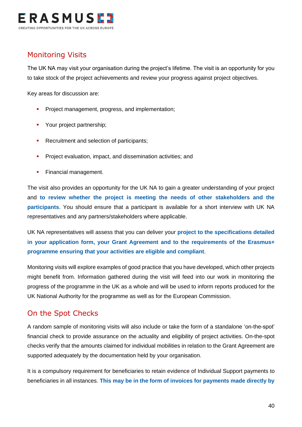

#### <span id="page-40-0"></span>Monitoring Visits

The UK NA may visit your organisation during the project's lifetime. The visit is an opportunity for you to take stock of the project achievements and review your progress against project objectives.

Key areas for discussion are:

- **•** Project management, progress, and implementation:
- **•** Your project partnership;
- Recruitment and selection of participants;
- **•** Project evaluation, impact, and dissemination activities; and
- **•** Financial management.

The visit also provides an opportunity for the UK NA to gain a greater understanding of your project and **to review whether the project is meeting the needs of other stakeholders and the participants**. You should ensure that a participant is available for a short interview with UK NA representatives and any partners/stakeholders where applicable.

UK NA representatives will assess that you can deliver your **project to the specifications detailed in your application form, your Grant Agreement and to the requirements of the Erasmus+ programme ensuring that your activities are eligible and compliant**.

Monitoring visits will explore examples of good practice that you have developed, which other projects might benefit from. Information gathered during the visit will feed into our work in monitoring the progress of the programme in the UK as a whole and will be used to inform reports produced for the UK National Authority for the programme as well as for the European Commission.

#### <span id="page-40-1"></span>On the Spot Checks

A random sample of monitoring visits will also include or take the form of a standalone 'on-the-spot' financial check to provide assurance on the actuality and eligibility of project activities. On-the-spot checks verify that the amounts claimed for individual mobilities in relation to the Grant Agreement are supported adequately by the documentation held by your organisation.

It is a compulsory requirement for beneficiaries to retain evidence of Individual Support payments to beneficiaries in all instances. **This may be in the form of invoices for payments made directly by**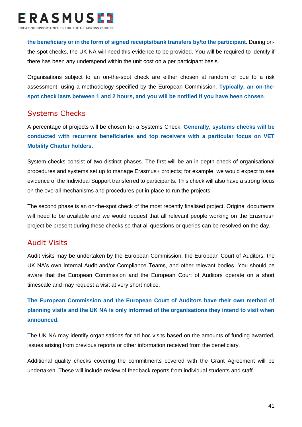

**the beneficiary or in the form of signed receipts/bank transfers by/to the participant**. During onthe-spot checks, the UK NA will need this evidence to be provided. You will be required to identify if there has been any underspend within the unit cost on a per participant basis.

Organisations subject to an on-the-spot check are either chosen at random or due to a risk assessment, using a methodology specified by the European Commission. **Typically, an on-thespot check lasts between 1 and 2 hours, and you will be notified if you have been chosen**.

#### <span id="page-41-0"></span>Systems Checks

A percentage of projects will be chosen for a Systems Check. **Generally, systems checks will be conducted with recurrent beneficiaries and top receivers with a particular focus on VET Mobility Charter holders**.

System checks consist of two distinct phases. The first will be an in-depth check of organisational procedures and systems set up to manage Erasmus+ projects; for example, we would expect to see evidence of the Individual Support transferred to participants. This check will also have a strong focus on the overall mechanisms and procedures put in place to run the projects.

The second phase is an on-the-spot check of the most recently finalised project. Original documents will need to be available and we would request that all relevant people working on the Erasmus+ project be present during these checks so that all questions or queries can be resolved on the day.

#### <span id="page-41-1"></span>Audit Visits

Audit visits may be undertaken by the European Commission, the European Court of Auditors, the UK NA's own Internal Audit and/or Compliance Teams, and other relevant bodies. You should be aware that the European Commission and the European Court of Auditors operate on a short timescale and may request a visit at very short notice.

**The European Commission and the European Court of Auditors have their own method of planning visits and the UK NA is only informed of the organisations they intend to visit when announced.**

The UK NA may identify organisations for ad hoc visits based on the amounts of funding awarded, issues arising from previous reports or other information received from the beneficiary.

Additional quality checks covering the commitments covered with the Grant Agreement will be undertaken. These will include review of feedback reports from individual students and staff.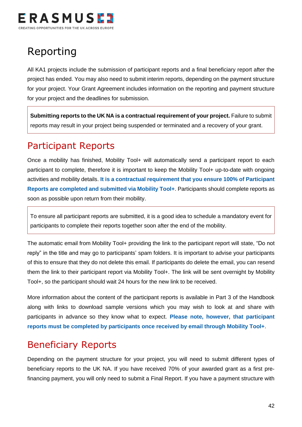

## <span id="page-42-0"></span>Reporting

All KA1 projects include the submission of participant reports and a final beneficiary report after the project has ended. You may also need to submit interim reports, depending on the payment structure for your project. Your Grant Agreement includes information on the reporting and payment structure for your project and the deadlines for submission.

**Submitting reports to the UK NA is a contractual requirement of your project.** Failure to submit reports may result in your project being suspended or terminated and a recovery of your grant.

### <span id="page-42-1"></span>Participant Reports

Once a mobility has finished, Mobility Tool+ will automatically send a participant report to each participant to complete, therefore it is important to keep the Mobility Tool+ up-to-date with ongoing activities and mobility details. **It is a contractual requirement that you ensure 100% of Participant Reports are completed and submitted via Mobility Tool+**. Participants should complete reports as soon as possible upon return from their mobility.

To ensure all participant reports are submitted, it is a good idea to schedule a mandatory event for participants to complete their reports together soon after the end of the mobility.

The automatic email from Mobility Tool+ providing the link to the participant report will state, "Do not reply" in the title and may go to participants' spam folders. It is important to advise your participants of this to ensure that they do not delete this email. If participants do delete the email, you can resend them the link to their participant report via Mobility Tool+. The link will be sent overnight by Mobility Tool+, so the participant should wait 24 hours for the new link to be received.

More information about the content of the participant reports is available in Part 3 of the Handbook along with links to download sample versions which you may wish to look at and share with participants in advance so they know what to expect. **Please note, however, that participant reports must be completed by participants once received by email through Mobility Tool+**.

### <span id="page-42-2"></span>Beneficiary Reports

Depending on the payment structure for your project, you will need to submit different types of beneficiary reports to the UK NA. If you have received 70% of your awarded grant as a first prefinancing payment, you will only need to submit a Final Report. If you have a payment structure with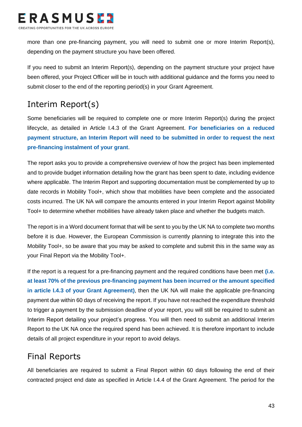

more than one pre-financing payment, you will need to submit one or more Interim Report(s), depending on the payment structure you have been offered.

If you need to submit an Interim Report(s), depending on the payment structure your project have been offered, your Project Officer will be in touch with additional guidance and the forms you need to submit closer to the end of the reporting period(s) in your Grant Agreement.

### <span id="page-43-0"></span>Interim Report(s)

Some beneficiaries will be required to complete one or more Interim Report(s) during the project lifecycle, as detailed in Article I.4.3 of the Grant Agreement. **For beneficiaries on a reduced payment structure, an Interim Report will need to be submitted in order to request the next pre-financing instalment of your grant**.

The report asks you to provide a comprehensive overview of how the project has been implemented and to provide budget information detailing how the grant has been spent to date, including evidence where applicable. The Interim Report and supporting documentation must be complemented by up to date records in Mobility Tool+, which show that mobilities have been complete and the associated costs incurred. The UK NA will compare the amounts entered in your Interim Report against Mobility Tool+ to determine whether mobilities have already taken place and whether the budgets match.

The report is in a Word document format that will be sent to you by the UK NA to complete two months before it is due. However, the European Commission is currently planning to integrate this into the Mobility Tool+, so be aware that you may be asked to complete and submit this in the same way as your Final Report via the Mobility Tool+.

If the report is a request for a pre-financing payment and the required conditions have been met **(i.e. at least 70% of the previous pre-financing payment has been incurred or the amount specified in article I.4.3 of your Grant Agreement)**, then the UK NA will make the applicable pre-financing payment due within 60 days of receiving the report. If you have not reached the expenditure threshold to trigger a payment by the submission deadline of your report, you will still be required to submit an Interim Report detailing your project's progress. You will then need to submit an additional Interim Report to the UK NA once the required spend has been achieved. It is therefore important to include details of all project expenditure in your report to avoid delays.

### <span id="page-43-1"></span>Final Reports

All beneficiaries are required to submit a Final Report within 60 days following the end of their contracted project end date as specified in Article I.4.4 of the Grant Agreement. The period for the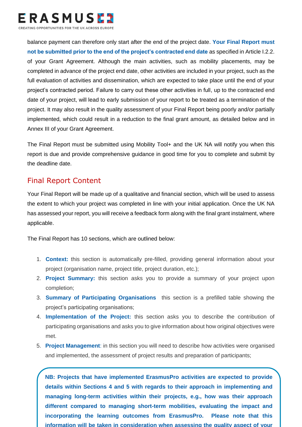

balance payment can therefore only start after the end of the project date. **Your Final Report must not be submitted prior to the end of the project's contracted end date** as specified in Article I.2.2. of your Grant Agreement. Although the main activities, such as mobility placements, may be completed in advance of the project end date, other activities are included in your project, such as the full evaluation of activities and dissemination, which are expected to take place until the end of your project's contracted period. Failure to carry out these other activities in full, up to the contracted end date of your project, will lead to early submission of your report to be treated as a termination of the project. It may also result in the quality assessment of your Final Report being poorly and/or partially implemented, which could result in a reduction to the final grant amount, as detailed below and in Annex III of your Grant Agreement.

The Final Report must be submitted using Mobility Tool+ and the UK NA will notify you when this report is due and provide comprehensive guidance in good time for you to complete and submit by the deadline date.

#### <span id="page-44-0"></span>Final Report Content

Your Final Report will be made up of a qualitative and financial section, which will be used to assess the extent to which your project was completed in line with your initial application. Once the UK NA has assessed your report, you will receive a feedback form along with the final grant instalment, where applicable.

The Final Report has 10 sections, which are outlined below:

- 1. **Context:** this section is automatically pre-filled, providing general information about your project (organisation name, project title, project duration, etc.);
- 2. **Project Summary:** this section asks you to provide a summary of your project upon completion;
- 3. **Summary of Participating Organisations** this section is a prefilled table showing the project's participating organisations;
- 4. **Implementation of the Project:** this section asks you to describe the contribution of participating organisations and asks you to give information about how original objectives were met.
- 5. **Project Management**: in this section you will need to describe how activities were organised and implemented, the assessment of project results and preparation of participants;

different compared to managing short-term mobilities, evaluating the impact and **NB: Projects that have implemented ErasmusPro activities are expected to provide NB: Projects that have implemented ErasmusPro activities are expected to provide details within Sections 4 and 5 with regards to their approach in implementing and details within Sections 4 and 5 with regards to their approach in implementing and managing long-term activities within their projects, e.g., how was their approach incorporating the learning outcomes from ErasmusPro. Please note that this information will be taken in consideration when assessing the quality aspect of your**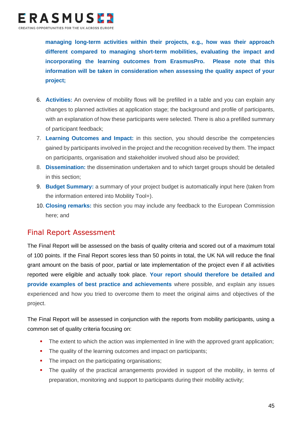

**managing long-term activities within their projects, e.g., how was their approach different compared to managing short-term mobilities, evaluating the impact and incorporating the learning outcomes from ErasmusPro. Please note that this information will be taken in consideration when assessing the quality aspect of your project;** 

- 6. **Activities:** An overview of mobility flows will be prefilled in a table and you can explain any changes to planned activities at application stage; the background and profile of participants, with an explanation of how these participants were selected. There is also a prefilled summary of participant feedback;
- 7. **Learning Outcomes and Impact:** in this section, you should describe the competencies gained by participants involved in the project and the recognition received by them. The impact on participants, organisation and stakeholder involved shoud also be provided;
- 8. **Dissemination:** the dissemination undertaken and to which target groups should be detailed in this section;
- 9. **Budget Summary:** a summary of your project budget is automatically input here (taken from the information entered into Mobility Tool+).
- 10. **Closing remarks:** this section you may include any feedback to the European Commission here; and

#### <span id="page-45-0"></span>Final Report Assessment

The Final Report will be assessed on the basis of quality criteria and scored out of a maximum total of 100 points. If the Final Report scores less than 50 points in total, the UK NA will reduce the final grant amount on the basis of poor, partial or late implementation of the project even if all activities reported were eligible and actually took place. **Your report should therefore be detailed and provide examples of best practice and achievements** where possible, and explain any issues experienced and how you tried to overcome them to meet the original aims and objectives of the project.

The Final Report will be assessed in conjunction with the reports from mobility participants, using a common set of quality criteria focusing on:

- The extent to which the action was implemented in line with the approved grant application;
- The quality of the learning outcomes and impact on participants;
- **•** The impact on the participating organisations;
- The quality of the practical arrangements provided in support of the mobility, in terms of preparation, monitoring and support to participants during their mobility activity;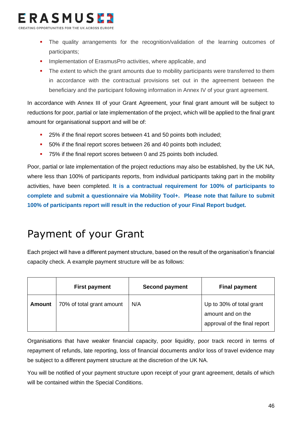

- The quality arrangements for the recognition/validation of the learning outcomes of participants;
- Implementation of ErasmusPro activities, where applicable, and
- The extent to which the grant amounts due to mobility participants were transferred to them in accordance with the contractual provisions set out in the agreement between the beneficiary and the participant following information in Annex IV of your grant agreement.

In accordance with Annex III of your Grant Agreement, your final grant amount will be subject to reductions for poor, partial or late implementation of the project, which will be applied to the final grant amount for organisational support and will be of:

- 25% if the final report scores between 41 and 50 points both included;
- 50% if the final report scores between 26 and 40 points both included;
- <span id="page-46-0"></span>75% if the final report scores between 0 and 25 points both included.

Poor, partial or late implementation of the project reductions may also be established, by the UK NA, where less than 100% of participants reports, from individual participants taking part in the mobility activities, have been completed. **It is a contractual requirement for 100% of participants to complete and submit a questionnaire via Mobility Tool+. Please note that failure to submit 100% of participants report will result in the reduction of your Final Report budget.** 

## Payment of your Grant

Each project will have a different payment structure, based on the result of the organisation's financial capacity check. A example payment structure will be as follows:

|               | <b>First payment</b>      | <b>Second payment</b> | <b>Final payment</b>                                                          |
|---------------|---------------------------|-----------------------|-------------------------------------------------------------------------------|
| <b>Amount</b> | 70% of total grant amount | N/A                   | Up to 30% of total grant<br>amount and on the<br>approval of the final report |

Organisations that have weaker financial capacity, poor liquidity, poor track record in terms of repayment of refunds, late reporting, loss of financial documents and/or loss of travel evidence may be subject to a different payment structure at the discretion of the UK NA.

You will be notified of your payment structure upon receipt of your grant agreement, details of which will be contained within the Special Conditions.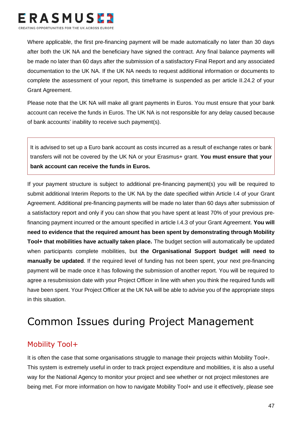

Where applicable, the first pre-financing payment will be made automatically no later than 30 days after both the UK NA and the beneficiary have signed the contract. Any final balance payments will be made no later than 60 days after the submission of a satisfactory Final Report and any associated documentation to the UK NA. If the UK NA needs to request additional information or documents to complete the assessment of your report, this timeframe is suspended as per article II.24.2 of your Grant Agreement.

Please note that the UK NA will make all grant payments in Euros. You must ensure that your bank account can receive the funds in Euros. The UK NA is not responsible for any delay caused because of bank accounts' inability to receive such payment(s).

It is advised to set up a Euro bank account as costs incurred as a result of exchange rates or bank transfers will not be covered by the UK NA or your Erasmus+ grant. **You must ensure that your bank account can receive the funds in Euros.**

If your payment structure is subject to additional pre-financing payment(s) you will be required to submit additional Interim Reports to the UK NA by the date specified within Article I.4 of your Grant Agreement. Additional pre-financing payments will be made no later than 60 days after submission of a satisfactory report and only if you can show that you have spent at least 70% of your previous prefinancing payment incurred or the amount specified in article I.4.3 of your Grant Agreement. **You will need to evidence that the required amount has been spent by demonstrating through Mobility Tool+ that mobilities have actually taken place.** The budget section will automatically be updated when participants complete mobilities, but **the Organisational Support budget will need to manually be updated**. If the required level of funding has not been spent, your next pre-financing payment will be made once it has following the submission of another report. You will be required to agree a resubmission date with your Project Officer in line with when you think the required funds will have been spent. Your Project Officer at the UK NA will be able to advise you of the appropriate steps in this situation.

## Common Issues during Project Management

#### Mobility Tool+

It is often the case that some organisations struggle to manage their projects within Mobility Tool+. This system is extremely useful in order to track project expenditure and mobilities, it is also a useful way for the National Agency to monitor your project and see whether or not project milestones are being met. For more information on how to navigate Mobility Tool+ and use it effectively, please see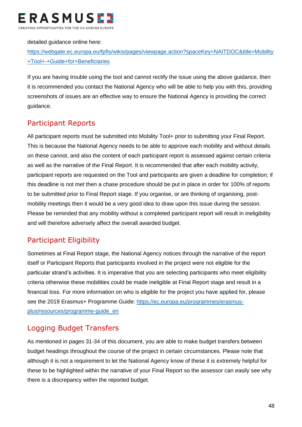

detailed guidance online here:

[https://webgate.ec.europa.eu/fpfis/wikis/pages/viewpage.action?spaceKey=NAITDOC&title=Mobility](https://webgate.ec.europa.eu/fpfis/wikis/pages/viewpage.action?spaceKey=NAITDOC&title=Mobility+Tool+-+Guide+for+Beneficiaries) [+Tool+-+Guide+for+Beneficiaries](https://webgate.ec.europa.eu/fpfis/wikis/pages/viewpage.action?spaceKey=NAITDOC&title=Mobility+Tool+-+Guide+for+Beneficiaries)

If you are having trouble using the tool and cannot rectify the issue using the above guidance, then it is recommended you contact the National Agency who will be able to help you with this, providing screenshots of issues are an effective way to ensure the National Agency is providing the correct guidance.

#### Participant Reports

All participant reports must be submitted into Mobility Tool+ prior to submitting your Final Report. This is because the National Agency needs to be able to approve each mobility and without details on these cannot, and also the content of each participant report is assessed against certain criteria as well as the narrative of the Final Report. It is recommended that after each mobility activity, participant reports are requested on the Tool and participants are given a deadline for completion; if this deadline is not met then a chase procedure should be put in place in order for 100% of reports to be submitted prior to Final Report stage. If you organise, or are thinking of organising, postmobility meetings then it would be a very good idea to draw upon this issue during the session. Please be reminded that any mobility without a completed participant report will result in ineligibility and will therefore adversely affect the overall awarded budget.

#### Participant Eligibility

Sometimes at Final Report stage, the National Agency notices through the narrative of the report itself or Participant Reports that participants involved in the project were not eligible for the particular strand's activities. It is imperative that you are selecting participants who meet eligibility criteria otherwise these mobilities could be made ineligible at Final Report stage and result in a financial loss. For more information on who is eligible for the project you have applied for, please see the 2019 Erasmus+ Programme Guide: [https://ec.europa.eu/programmes/erasmus](https://ec.europa.eu/programmes/erasmus-plus/resources/programme-guide_en)[plus/resources/programme-guide\\_en](https://ec.europa.eu/programmes/erasmus-plus/resources/programme-guide_en)

#### Logging Budget Transfers

As mentioned in pages 31-34 of this document, you are able to make budget transfers between budget headings throughout the course of the project in certain circumstances. Please note that although it is not a requirement to let the National Agency know of these it is extremely helpful for these to be highlighted within the narrative of your Final Report so the assessor can easily see why there is a discrepancy within the reported budget.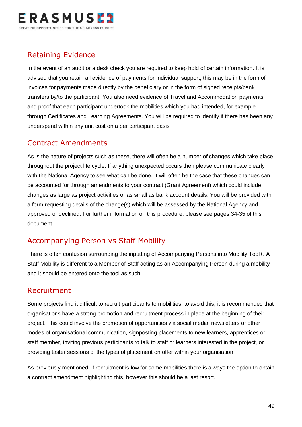

#### Retaining Evidence

In the event of an audit or a desk check you are required to keep hold of certain information. It is advised that you retain all evidence of payments for Individual support; this may be in the form of invoices for payments made directly by the beneficiary or in the form of signed receipts/bank transfers by/to the participant. You also need evidence of Travel and Accommodation payments, and proof that each participant undertook the mobilities which you had intended, for example through Certificates and Learning Agreements. You will be required to identify if there has been any underspend within any unit cost on a per participant basis.

#### Contract Amendments

As is the nature of projects such as these, there will often be a number of changes which take place throughout the project life cycle. If anything unexpected occurs then please communicate clearly with the National Agency to see what can be done. It will often be the case that these changes can be accounted for through amendments to your contract (Grant Agreement) which could include changes as large as project activities or as small as bank account details. You will be provided with a form requesting details of the change(s) which will be assessed by the National Agency and approved or declined. For further information on this procedure, please see pages 34-35 of this document.

#### Accompanying Person vs Staff Mobility

There is often confusion surrounding the inputting of Accompanying Persons into Mobility Tool+. A Staff Mobility is different to a Member of Staff acting as an Accompanying Person during a mobility and it should be entered onto the tool as such.

#### Recruitment

Some projects find it difficult to recruit participants to mobilities, to avoid this, it is recommended that organisations have a strong promotion and recruitment process in place at the beginning of their project. This could involve the promotion of opportunities via social media, newsletters or other modes of organisational communication, signposting placements to new learners, apprentices or staff member, inviting previous participants to talk to staff or learners interested in the project, or providing taster sessions of the types of placement on offer within your organisation.

As previously mentioned, if recruitment is low for some mobilities there is always the option to obtain a contract amendment highlighting this, however this should be a last resort.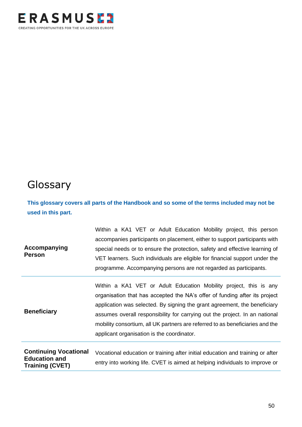

## <span id="page-50-0"></span>Glossary

**This glossary covers all parts of the Handbook and so some of the terms included may not be used in this part.**

| Accompanying<br><b>Person</b>                 | Within a KA1 VET or Adult Education Mobility project, this person<br>accompanies participants on placement, either to support participants with<br>special needs or to ensure the protection, safety and effective learning of<br>VET learners. Such individuals are eligible for financial support under the<br>programme. Accompanying persons are not regarded as participants.                                                         |
|-----------------------------------------------|--------------------------------------------------------------------------------------------------------------------------------------------------------------------------------------------------------------------------------------------------------------------------------------------------------------------------------------------------------------------------------------------------------------------------------------------|
| <b>Beneficiary</b>                            | Within a KA1 VET or Adult Education Mobility project, this is any<br>organisation that has accepted the NA's offer of funding after its project<br>application was selected. By signing the grant agreement, the beneficiary<br>assumes overall responsibility for carrying out the project. In an national<br>mobility consortium, all UK partners are referred to as beneficiaries and the<br>applicant organisation is the coordinator. |
| <b>Continuing Vocational</b><br>Education and | Vocational education or training after initial education and training or after                                                                                                                                                                                                                                                                                                                                                             |

| <b>Education and</b>   |                                                                             |
|------------------------|-----------------------------------------------------------------------------|
| <b>Training (CVET)</b> | entry into working life. CVET is aimed at helping individuals to improve or |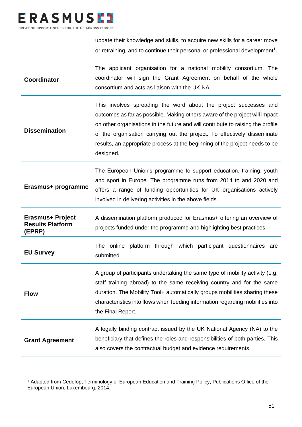

update their knowledge and skills, to acquire new skills for a career move or retraining, and to continue their personal or professional development<sup>1</sup>.

| <b>Coordinator</b>                                           | The applicant organisation for a national mobility consortium. The<br>coordinator will sign the Grant Agreement on behalf of the whole<br>consortium and acts as liaison with the UK NA.                                                                                                                                                                                                                   |
|--------------------------------------------------------------|------------------------------------------------------------------------------------------------------------------------------------------------------------------------------------------------------------------------------------------------------------------------------------------------------------------------------------------------------------------------------------------------------------|
| <b>Dissemination</b>                                         | This involves spreading the word about the project successes and<br>outcomes as far as possible. Making others aware of the project will impact<br>on other organisations in the future and will contribute to raising the profile<br>of the organisation carrying out the project. To effectively disseminate<br>results, an appropriate process at the beginning of the project needs to be<br>designed. |
| Erasmus+ programme                                           | The European Union's programme to support education, training, youth<br>and sport in Europe. The programme runs from 2014 to and 2020 and<br>offers a range of funding opportunities for UK organisations actively<br>involved in delivering activities in the above fields.                                                                                                                               |
| <b>Erasmus+ Project</b><br><b>Results Platform</b><br>(EPRP) | A dissemination platform produced for Erasmus+ offering an overview of<br>projects funded under the programme and highlighting best practices.                                                                                                                                                                                                                                                             |
| <b>EU Survey</b>                                             | The online platform through which participant questionnaires<br>are<br>submitted.                                                                                                                                                                                                                                                                                                                          |
| <b>Flow</b>                                                  | A group of participants undertaking the same type of mobility activity (e.g.<br>staff training abroad) to the same receiving country and for the same<br>duration. The Mobility Tool+ automatically groups mobilities sharing these<br>characteristics into flows when feeding information regarding mobilities into<br>the Final Report.                                                                  |
|                                                              | A legally binding contract issued by the UK National Agency (NA) to the                                                                                                                                                                                                                                                                                                                                    |

<sup>1</sup> Adapted from Cedefop, Terminology of European Education and Training Policy, Publications Office of the European Union, Luxembourg, 2014.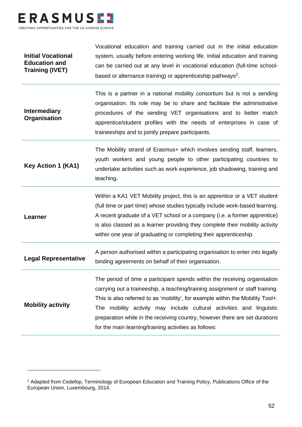

| <b>Initial Vocational</b><br><b>Education and</b><br><b>Training (IVET)</b> | Vocational education and training carried out in the initial education<br>system, usually before entering working life. Initial education and training<br>can be carried out at any level in vocational education (full-time school-<br>based or alternance training) or apprenticeship pathways <sup>2</sup> .                                                                                                                                              |
|-----------------------------------------------------------------------------|--------------------------------------------------------------------------------------------------------------------------------------------------------------------------------------------------------------------------------------------------------------------------------------------------------------------------------------------------------------------------------------------------------------------------------------------------------------|
| <b>Intermediary</b><br>Organisation                                         | This is a partner in a national mobility consortium but is not a sending<br>organisation. Its role may be to share and facilitate the administrative<br>procedures of the sending VET organisations and to better match<br>apprentice/student profiles with the needs of enterprises in case of<br>traineeships and to jointly prepare participants.                                                                                                         |
| <b>Key Action 1 (KA1)</b>                                                   | The Mobility strand of Erasmus+ which involves sending staff, learners,<br>youth workers and young people to other participating countries to<br>undertake activities such as work experience, job shadowing, training and<br>teaching.                                                                                                                                                                                                                      |
| Learner                                                                     | Within a KA1 VET Mobility project, this is an apprentice or a VET student<br>(full time or part time) whose studies typically include work-based learning.<br>A recent graduate of a VET school or a company (i.e. a former apprentice)<br>is also classed as a learner providing they complete their mobility activity<br>within one year of graduating or completing their apprenticeship.                                                                 |
| <b>Legal Representative</b>                                                 | A person authorised within a participating organisation to enter into legally<br>binding agreements on behalf of their organisation.                                                                                                                                                                                                                                                                                                                         |
| <b>Mobility activity</b>                                                    | The period of time a participant spends within the receiving organisation<br>carrying out a traineeship, a teaching/training assignment or staff training.<br>This is also referred to as 'mobility', for example within the Mobility Tool+.<br>The mobility activity may include cultural activities and linguistic<br>preparation while in the receiving country, however there are set durations<br>for the main learning/training activities as follows: |

<sup>&</sup>lt;sup>2</sup> Adapted from Cedefop, Terminology of European Education and Training Policy, Publications Office of the European Union, Luxembourg, 2014.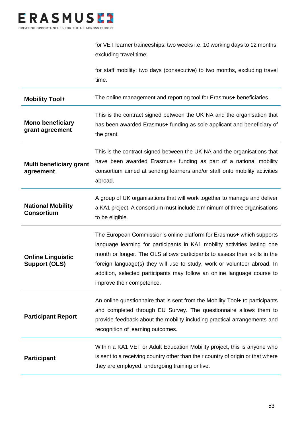

|                                                  | for VET learner traineeships: two weeks i.e. 10 working days to 12 months,<br>excluding travel time;                                                                                                                                                                                                                                                                                                                 |
|--------------------------------------------------|----------------------------------------------------------------------------------------------------------------------------------------------------------------------------------------------------------------------------------------------------------------------------------------------------------------------------------------------------------------------------------------------------------------------|
|                                                  | for staff mobility: two days (consecutive) to two months, excluding travel<br>time.                                                                                                                                                                                                                                                                                                                                  |
| <b>Mobility Tool+</b>                            | The online management and reporting tool for Erasmus+ beneficiaries.                                                                                                                                                                                                                                                                                                                                                 |
| <b>Mono beneficiary</b><br>grant agreement       | This is the contract signed between the UK NA and the organisation that<br>has been awarded Erasmus+ funding as sole applicant and beneficiary of<br>the grant.                                                                                                                                                                                                                                                      |
| Multi beneficiary grant<br>agreement             | This is the contract signed between the UK NA and the organisations that<br>have been awarded Erasmus+ funding as part of a national mobility<br>consortium aimed at sending learners and/or staff onto mobility activities<br>abroad.                                                                                                                                                                               |
| <b>National Mobility</b><br><b>Consortium</b>    | A group of UK organisations that will work together to manage and deliver<br>a KA1 project. A consortium must include a minimum of three organisations<br>to be eligible.                                                                                                                                                                                                                                            |
| <b>Online Linguistic</b><br><b>Support (OLS)</b> | The European Commission's online platform for Erasmus+ which supports<br>language learning for participants in KA1 mobility activities lasting one<br>month or longer. The OLS allows participants to assess their skills in the<br>foreign language(s) they will use to study, work or volunteer abroad. In<br>addition, selected participants may follow an online language course to<br>improve their competence. |
| <b>Participant Report</b>                        | An online questionnaire that is sent from the Mobility Tool+ to participants<br>and completed through EU Survey. The questionnaire allows them to<br>provide feedback about the mobility including practical arrangements and<br>recognition of learning outcomes.                                                                                                                                                   |
| <b>Participant</b>                               | Within a KA1 VET or Adult Education Mobility project, this is anyone who<br>is sent to a receiving country other than their country of origin or that where<br>they are employed, undergoing training or live.                                                                                                                                                                                                       |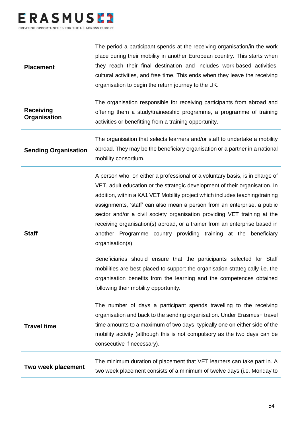

| Two week placement               | The minimum duration of placement that VET learners can take part in. A<br>two week placement consists of a minimum of twelve days (i.e. Monday to                                                                                                                                                                                                                                                                                                                                                                                                                       |
|----------------------------------|--------------------------------------------------------------------------------------------------------------------------------------------------------------------------------------------------------------------------------------------------------------------------------------------------------------------------------------------------------------------------------------------------------------------------------------------------------------------------------------------------------------------------------------------------------------------------|
| <b>Travel time</b>               | The number of days a participant spends travelling to the receiving<br>organisation and back to the sending organisation. Under Erasmus+ travel<br>time amounts to a maximum of two days, typically one on either side of the<br>mobility activity (although this is not compulsory as the two days can be<br>consecutive if necessary).                                                                                                                                                                                                                                 |
|                                  | Beneficiaries should ensure that the participants selected for Staff<br>mobilities are best placed to support the organisation strategically i.e. the<br>organisation benefits from the learning and the competences obtained<br>following their mobility opportunity.                                                                                                                                                                                                                                                                                                   |
| <b>Staff</b>                     | A person who, on either a professional or a voluntary basis, is in charge of<br>VET, adult education or the strategic development of their organisation. In<br>addition, within a KA1 VET Mobility project which includes teaching/training<br>assignments, 'staff' can also mean a person from an enterprise, a public<br>sector and/or a civil society organisation providing VET training at the<br>receiving organisation(s) abroad, or a trainer from an enterprise based in<br>another Programme country providing training at the beneficiary<br>organisation(s). |
| <b>Sending Organisation</b>      | The organisation that selects learners and/or staff to undertake a mobility<br>abroad. They may be the beneficiary organisation or a partner in a national<br>mobility consortium.                                                                                                                                                                                                                                                                                                                                                                                       |
| <b>Receiving</b><br>Organisation | The organisation responsible for receiving participants from abroad and<br>offering them a study/traineeship programme, a programme of training<br>activities or benefitting from a training opportunity.                                                                                                                                                                                                                                                                                                                                                                |
| <b>Placement</b>                 | The period a participant spends at the receiving organisation/in the work<br>place during their mobility in another European country. This starts when<br>they reach their final destination and includes work-based activities,<br>cultural activities, and free time. This ends when they leave the receiving<br>organisation to begin the return journey to the UK.                                                                                                                                                                                                   |